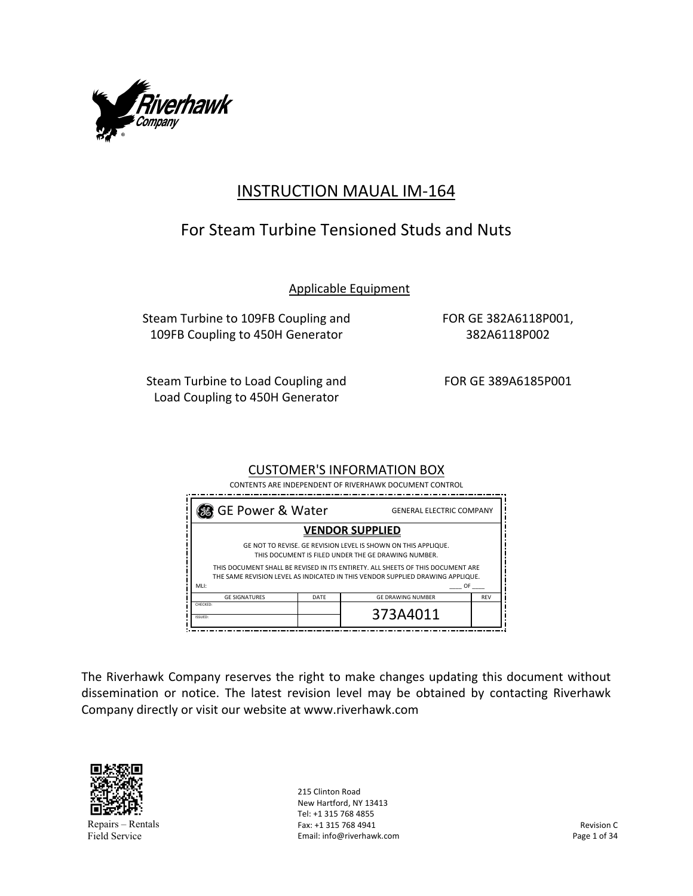

# INSTRUCTION MAUAL IM‐164

# For Steam Turbine Tensioned Studs and Nuts

Applicable Equipment

Steam Turbine to 109FB Coupling and 109FB Coupling to 450H Generator

FOR GE 382A6118P001, 382A6118P002

Steam Turbine to Load Coupling and Load Coupling to 450H Generator

FOR GE 389A6185P001

## CUSTOMER'S INFORMATION BOX

 CONTENTS ARE INDEPENDENT OF RIVERHAWK DOCUMENT CONTROL

| GE Power & Water                                                                                                                                                  |      | <b>GENERAL ELECTRIC COMPANY</b> |            |
|-------------------------------------------------------------------------------------------------------------------------------------------------------------------|------|---------------------------------|------------|
|                                                                                                                                                                   |      | <b>VENDOR SUPPLIED</b>          |            |
| GE NOT TO REVISE. GE REVISION LEVEL IS SHOWN ON THIS APPLIQUE.<br>THIS DOCUMENT IS FILED UNDER THE GE DRAWING NUMBER.                                             |      |                                 |            |
| THIS DOCUMENT SHALL BE REVISED IN ITS ENTIRETY. ALL SHEETS OF THIS DOCUMENT ARE<br>THE SAME REVISION LEVEL AS INDICATED IN THIS VENDOR SUPPLIED DRAWING APPLIQUE. |      |                                 |            |
| MLI:<br>OF                                                                                                                                                        |      |                                 |            |
| <b>GE SIGNATURES</b>                                                                                                                                              | DATE | <b>GE DRAWING NUMBER</b>        | <b>REV</b> |
| <b>CHECKED:</b><br>ISSUED:                                                                                                                                        |      | 373A4011                        |            |

The Riverhawk Company reserves the right to make changes updating this document without dissemination or notice. The latest revision level may be obtained by contacting Riverhawk Company directly or visit our website at www.riverhawk.com



Repairs – Rentals Field Service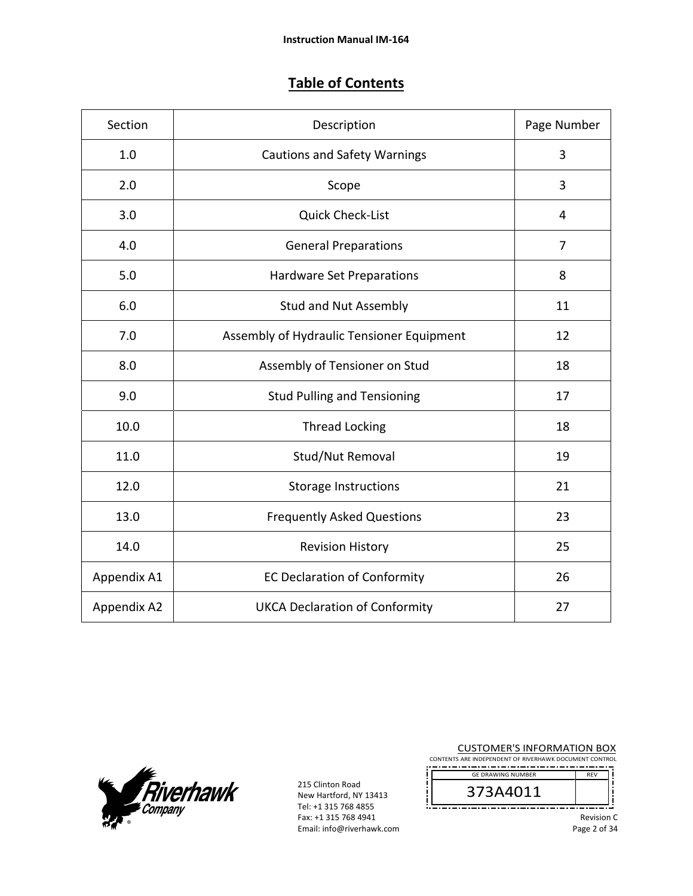# **Table of Contents**

| Section     | Description                               |    |
|-------------|-------------------------------------------|----|
| 1.0         | <b>Cautions and Safety Warnings</b>       | 3  |
| 2.0         | Scope                                     | 3  |
| 3.0         | <b>Quick Check-List</b>                   | 4  |
| 4.0         | <b>General Preparations</b>               | 7  |
| 5.0         | Hardware Set Preparations                 | 8  |
| 6.0         | <b>Stud and Nut Assembly</b>              | 11 |
| 7.0         | Assembly of Hydraulic Tensioner Equipment | 12 |
| 8.0         | Assembly of Tensioner on Stud             | 18 |
| 9.0         | <b>Stud Pulling and Tensioning</b>        | 17 |
| 10.0        | <b>Thread Locking</b>                     | 18 |
| 11.0        | Stud/Nut Removal                          | 19 |
| 12.0        | <b>Storage Instructions</b>               | 21 |
| 13.0        | <b>Frequently Asked Questions</b>         | 23 |
| 14.0        | <b>Revision History</b>                   | 25 |
| Appendix A1 | <b>EC Declaration of Conformity</b>       | 26 |
| Appendix A2 | <b>UKCA Declaration of Conformity</b>     | 27 |



215 Clinton Road New Hartford, NY 13413 Tel: +1 315 768 4855 Fax: +1 315 768 4941 Email: info@riverhawk.com CUSTOMER'S INFORMATION BOX

CONTENTS ARE INDEPENDENT OF RIVERHAWK DOCUMENT CONTROL REV



į

Revision C Page 2 of 34

Ī ׀<br>ׇׇׇׇׇ֦֦֦֦֦֡֡֡֘׀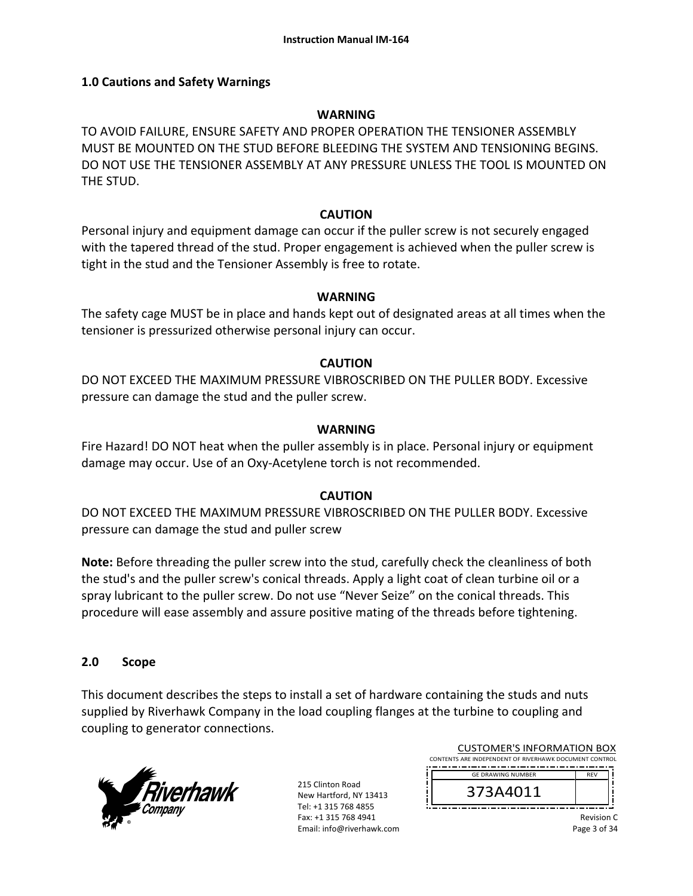#### **1.0 Cautions and Safety Warnings**

#### **WARNING**

TO AVOID FAILURE, ENSURE SAFETY AND PROPER OPERATION THE TENSIONER ASSEMBLY MUST BE MOUNTED ON THE STUD BEFORE BLEEDING THE SYSTEM AND TENSIONING BEGINS. DO NOT USE THE TENSIONER ASSEMBLY AT ANY PRESSURE UNLESS THE TOOL IS MOUNTED ON THE STUD.

#### **CAUTION**

Personal injury and equipment damage can occur if the puller screw is not securely engaged with the tapered thread of the stud. Proper engagement is achieved when the puller screw is tight in the stud and the Tensioner Assembly is free to rotate.

#### **WARNING**

The safety cage MUST be in place and hands kept out of designated areas at all times when the tensioner is pressurized otherwise personal injury can occur.

#### **CAUTION**

DO NOT EXCEED THE MAXIMUM PRESSURE VIBROSCRIBED ON THE PULLER BODY. Excessive pressure can damage the stud and the puller screw.

#### **WARNING**

Fire Hazard! DO NOT heat when the puller assembly is in place. Personal injury or equipment damage may occur. Use of an Oxy‐Acetylene torch is not recommended.

#### **CAUTION**

DO NOT EXCEED THE MAXIMUM PRESSURE VIBROSCRIBED ON THE PULLER BODY. Excessive pressure can damage the stud and puller screw

**Note:** Before threading the puller screw into the stud, carefully check the cleanliness of both the stud's and the puller screw's conical threads. Apply a light coat of clean turbine oil or a spray lubricant to the puller screw. Do not use "Never Seize" on the conical threads. This procedure will ease assembly and assure positive mating of the threads before tightening.

#### **2.0 Scope**

This document describes the steps to install a set of hardware containing the studs and nuts supplied by Riverhawk Company in the load coupling flanges at the turbine to coupling and coupling to generator connections.



215 Clinton Road New Hartford, NY 13413 Tel: +1 315 768 4855 Fax: +1 315 768 4941 Email: info@riverhawk.com

| CUSTUMER S INFORMATION BUX                             |            |  |
|--------------------------------------------------------|------------|--|
| CONTENTS ARE INDEPENDENT OF RIVERHAWK DOCUMENT CONTROL |            |  |
|                                                        |            |  |
| <b>GE DRAWING NUMBER</b>                               | <b>RFV</b> |  |
| 373A4011                                               |            |  |

CUCTOMERIC INFORMATION BOY

Revision C Page 3 of 34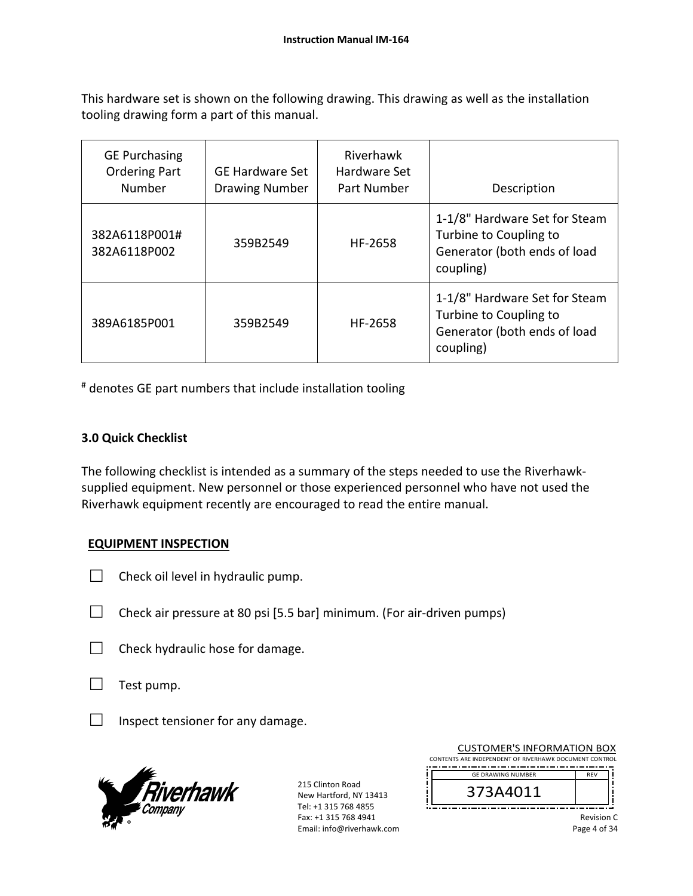This hardware set is shown on the following drawing. This drawing as well as the installation tooling drawing form a part of this manual.

| <b>GE Purchasing</b><br><b>Ordering Part</b><br>Number | <b>GE Hardware Set</b><br><b>Drawing Number</b> | Riverhawk<br>Hardware Set<br>Part Number | Description                                                                                          |
|--------------------------------------------------------|-------------------------------------------------|------------------------------------------|------------------------------------------------------------------------------------------------------|
| 382A6118P001#<br>382A6118P002                          | 359B2549                                        | HF-2658                                  | 1-1/8" Hardware Set for Steam<br>Turbine to Coupling to<br>Generator (both ends of load<br>coupling) |
| 389A6185P001                                           | 359B2549                                        | HF-2658                                  | 1-1/8" Hardware Set for Steam<br>Turbine to Coupling to<br>Generator (both ends of load<br>coupling) |

# denotes GE part numbers that include installation tooling

## **3.0 Quick Checklist**

The following checklist is intended as a summary of the steps needed to use the Riverhawk‐ supplied equipment. New personnel or those experienced personnel who have not used the Riverhawk equipment recently are encouraged to read the entire manual.

## **EQUIPMENT INSPECTION**

- $\Box$  Check oil level in hydraulic pump.
- $\Box$  Check air pressure at 80 psi [5.5 bar] minimum. (For air-driven pumps)
- $\Box$  Check hydraulic hose for damage.
- $\Box$  Test pump.
- $\Box$  Inspect tensioner for any damage.



215 Clinton Road New Hartford, NY 13413 Tel: +1 315 768 4855 Fax: +1 315 768 4941 Email: info@riverhawk.com

| <b>CUSTOMER'S INFORMATION BOX</b>                      |            |  |
|--------------------------------------------------------|------------|--|
| CONTENTS ARE INDEPENDENT OF RIVERHAWK DOCUMENT CONTROL |            |  |
| <b>GE DRAWING NUMBER</b>                               | <b>RFV</b> |  |
| 373A4011                                               |            |  |

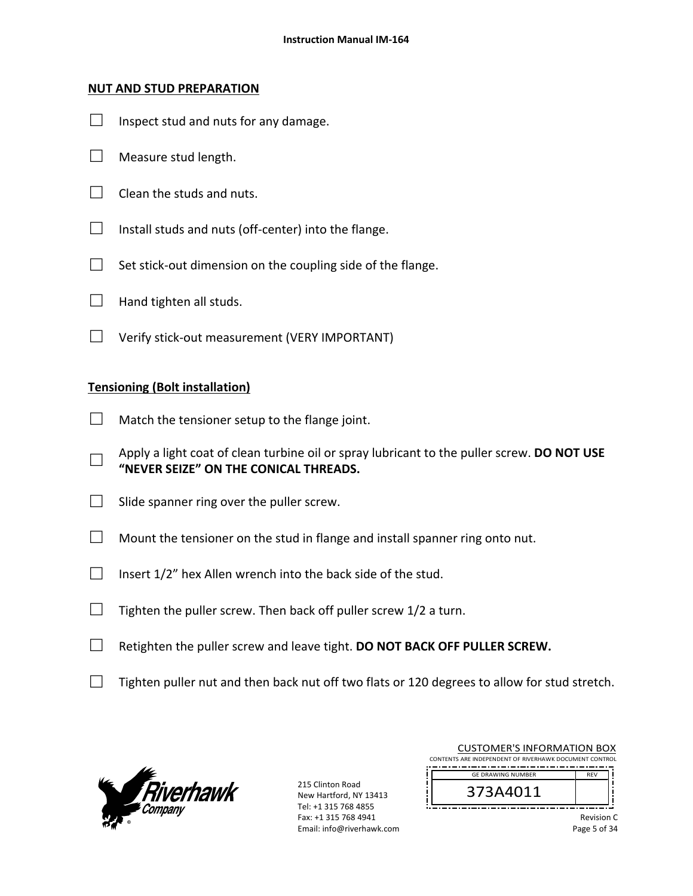#### **NUT AND STUD PREPARATION**

- $\Box$  Inspect stud and nuts for any damage.
- $\Box$  Measure stud length.
- $\Box$  Clean the studs and nuts.
- $\Box$  Install studs and nuts (off-center) into the flange.
- $\Box$  Set stick-out dimension on the coupling side of the flange.
- $\Box$  Hand tighten all studs.
- □ Verify stick‐out measurement (VERY IMPORTANT)

#### **Tensioning (Bolt installation)**

- $\Box$  Match the tensioner setup to the flange joint.
- □ Apply a light coat of clean turbine oil or spray lubricant to the puller screw. **DO NOT USE "NEVER SEIZE" ON THE CONICAL THREADS.**
- $\Box$  Slide spanner ring over the puller screw.
- $\Box$  Mount the tensioner on the stud in flange and install spanner ring onto nut.
- $\Box$  Insert 1/2" hex Allen wrench into the back side of the stud.
- $\Box$  Tighten the puller screw. Then back off puller screw 1/2 a turn.
- □ Retighten the puller screw and leave tight. **DO NOT BACK OFF PULLER SCREW.**
- $\Box$  Tighten puller nut and then back nut off two flats or 120 degrees to allow for stud stretch.



215 Clinton Road New Hartford, NY 13413 Tel: +1 315 768 4855 Fax: +1 315 768 4941 Email: info@riverhawk.com

|                                                        | CUSTOMER'S INFORMATION BOX |            |
|--------------------------------------------------------|----------------------------|------------|
| CONTENTS ARE INDEPENDENT OF RIVERHAWK DOCUMENT CONTROL |                            |            |
|                                                        | <b>GE DRAWING NUMBER</b>   | <b>RFV</b> |
|                                                        |                            |            |
|                                                        | 373A4011                   |            |
|                                                        |                            |            |
|                                                        |                            |            |

 $CUTO$  is a series in FORMATION BOX

Revision C Page 5 of 34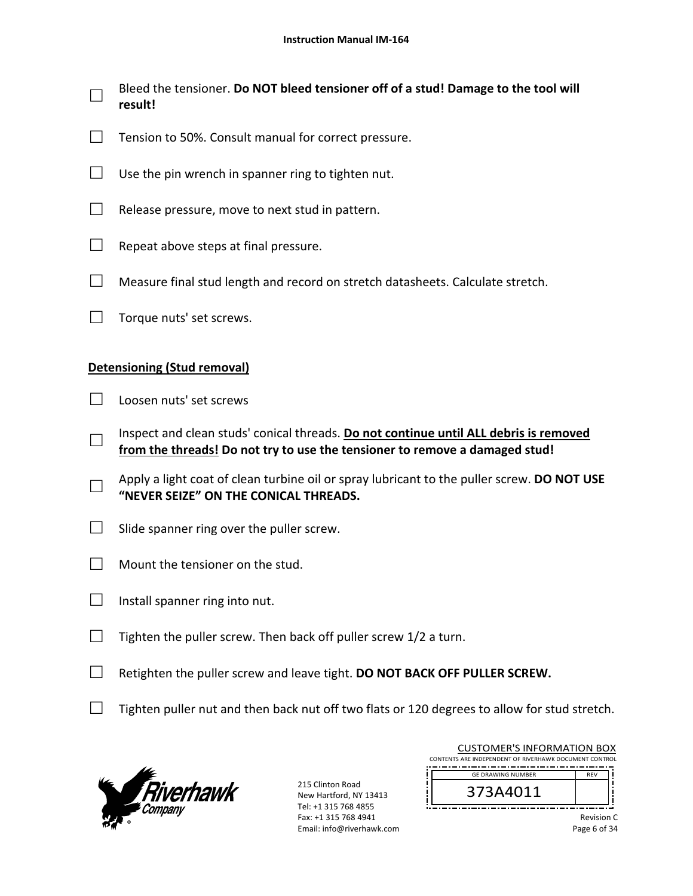- □ Bleed the tensioner. **Do NOT bleed tensioner off of a stud! Damage to the tool will result!**
- $\Box$  Tension to 50%. Consult manual for correct pressure.
- $\Box$  Use the pin wrench in spanner ring to tighten nut.
- $\Box$  Release pressure, move to next stud in pattern.
- $\Box$  Repeat above steps at final pressure.
- $\Box$  Measure final stud length and record on stretch datasheets. Calculate stretch.
- □ Torque nuts' set screws.

#### **Detensioning (Stud removal)**

- $\Box$  Loosen nuts' set screws
- □ Inspect and clean studs' conical threads. **Do not continue until ALL debris is removed from the threads! Do not try to use the tensioner to remove a damaged stud!**
- □ Apply a light coat of clean turbine oil or spray lubricant to the puller screw. **DO NOT USE "NEVER SEIZE" ON THE CONICAL THREADS.**
- $\Box$  Slide spanner ring over the puller screw.
- $\Box$  Mount the tensioner on the stud.
- $\Box$  Install spanner ring into nut.
- $\Box$  Tighten the puller screw. Then back off puller screw 1/2 a turn.
- □ Retighten the puller screw and leave tight. **DO NOT BACK OFF PULLER SCREW.**
- $\Box$  Tighten puller nut and then back nut off two flats or 120 degrees to allow for stud stretch.



| <b>CUSTOMER'S INFORMATION BOX</b>                      |  |  |  |
|--------------------------------------------------------|--|--|--|
| CONTENTS ARE INDEPENDENT OF RIVERHAWK DOCUMENT CONTROL |  |  |  |
| <b>GE DRAWING NUMBER</b><br><b>RFV</b>                 |  |  |  |
| 373A4011                                               |  |  |  |
|                                                        |  |  |  |

| <b>Revision C</b> |  |              |
|-------------------|--|--------------|
|                   |  | Page 6 of 34 |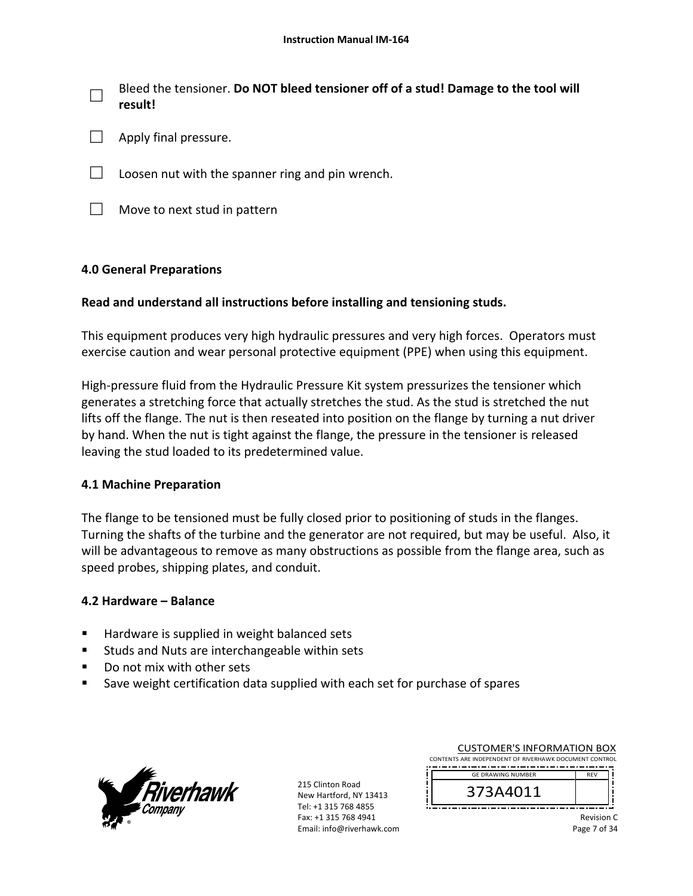□ Bleed the tensioner. **Do NOT bleed tensioner off of a stud! Damage to the tool will result!**

- $\Box$  Apply final pressure.
- $\Box$  Loosen nut with the spanner ring and pin wrench.
- $\Box$  Move to next stud in pattern

## **4.0 General Preparations**

## **Read and understand all instructions before installing and tensioning studs.**

This equipment produces very high hydraulic pressures and very high forces. Operators must exercise caution and wear personal protective equipment (PPE) when using this equipment.

High-pressure fluid from the Hydraulic Pressure Kit system pressurizes the tensioner which generates a stretching force that actually stretches the stud. As the stud is stretched the nut lifts off the flange. The nut is then reseated into position on the flange by turning a nut driver by hand. When the nut is tight against the flange, the pressure in the tensioner is released leaving the stud loaded to its predetermined value.

#### **4.1 Machine Preparation**

The flange to be tensioned must be fully closed prior to positioning of studs in the flanges. Turning the shafts of the turbine and the generator are not required, but may be useful. Also, it will be advantageous to remove as many obstructions as possible from the flange area, such as speed probes, shipping plates, and conduit.

#### **4.2 Hardware – Balance**

- Hardware is supplied in weight balanced sets
- Studs and Nuts are interchangeable within sets
- Do not mix with other sets
- **Save weight certification data supplied with each set for purchase of spares**



215 Clinton Road New Hartford, NY 13413 Tel: +1 315 768 4855 Fax: +1 315 768 4941 Email: info@riverhawk.com

| 373A4011                                               |            |  |
|--------------------------------------------------------|------------|--|
| <b>GE DRAWING NUMBER</b>                               | <b>RFV</b> |  |
| CONTENTS ARE INDEPENDENT OF RIVERHAWK DOCUMENT CONTROL |            |  |
| <b>CUSTOMER'S INFORMATION BOX</b>                      |            |  |

373A4011

Revision C Page 7 of 34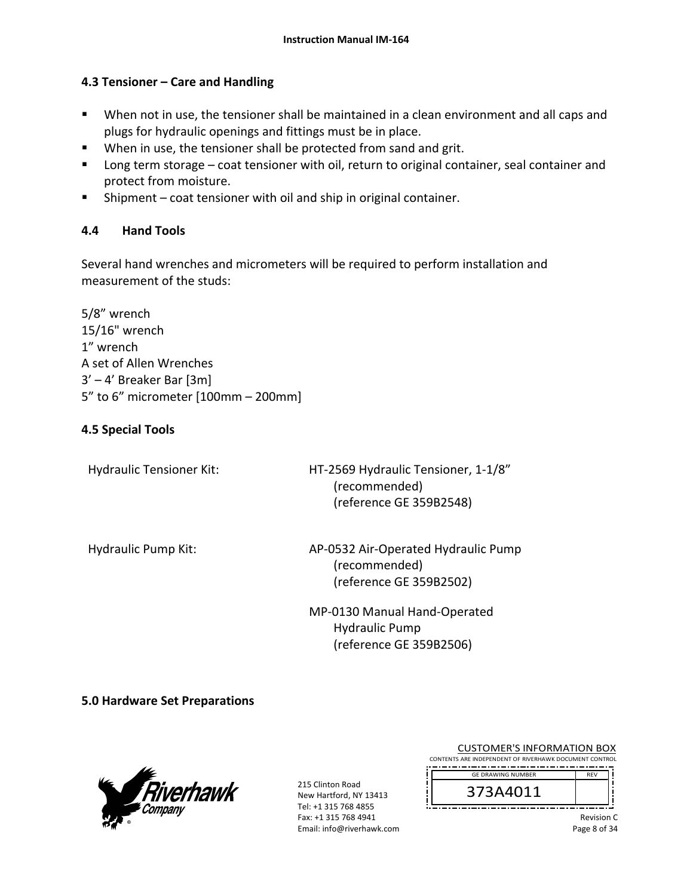## **4.3 Tensioner – Care and Handling**

- When not in use, the tensioner shall be maintained in a clean environment and all caps and plugs for hydraulic openings and fittings must be in place.
- **When in use, the tensioner shall be protected from sand and grit.**
- **Long term storage coat tensioner with oil, return to original container, seal container and** protect from moisture.
- Shipment coat tensioner with oil and ship in original container.

## **4.4 Hand Tools**

Several hand wrenches and micrometers will be required to perform installation and measurement of the studs:

5/8" wrench 15/16" wrench 1" wrench A set of Allen Wrenches 3' – 4' Breaker Bar [3m] 5" to 6" micrometer [100mm – 200mm]

## **4.5 Special Tools**

Hydraulic Tensioner Kit: 
HT-2569 Hydraulic Tensioner, 1-1/8" (recommended) (reference GE 359B2548)

Hydraulic Pump Kit: AP-0532 Air-Operated Hydraulic Pump (recommended) (reference GE 359B2502)

> MP‐0130 Manual Hand‐Operated Hydraulic Pump (reference GE 359B2506)

**5.0 Hardware Set Preparations** 



| <b>CUSTOMER'S INFORMATION BOX</b>                      |            |  |
|--------------------------------------------------------|------------|--|
| CONTENTS ARE INDEPENDENT OF RIVERHAWK DOCUMENT CONTROL |            |  |
| <b>GE DRAWING NUMBER</b>                               | <b>RFV</b> |  |
| 373 A 4044                                             |            |  |



| Revision C   |
|--------------|
| Page 8 of 34 |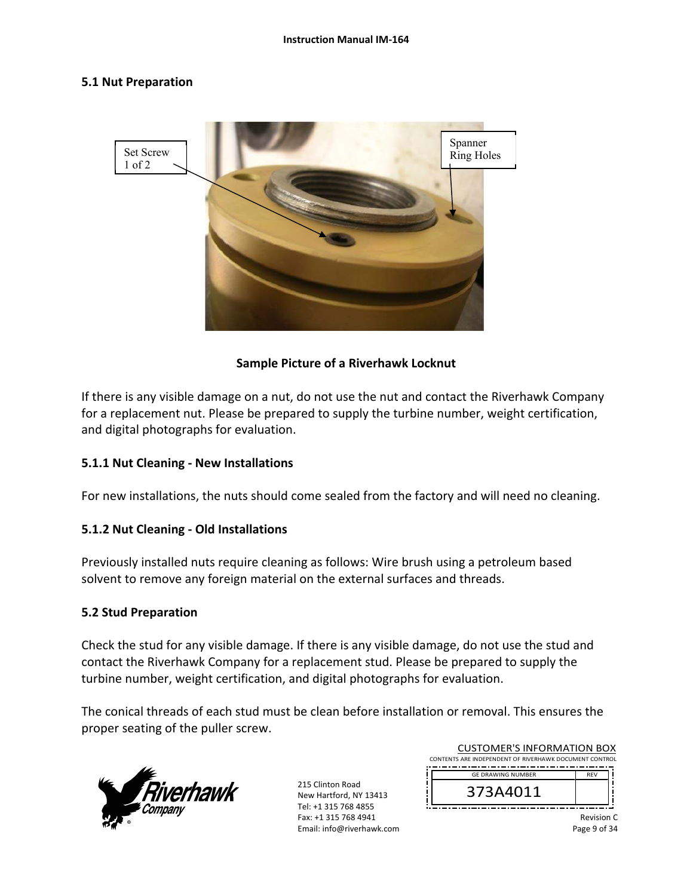#### **5.1 Nut Preparation**



#### **Sample Picture of a Riverhawk Locknut**

If there is any visible damage on a nut, do not use the nut and contact the Riverhawk Company for a replacement nut. Please be prepared to supply the turbine number, weight certification, and digital photographs for evaluation.

#### **5.1.1 Nut Cleaning ‐ New Installations**

For new installations, the nuts should come sealed from the factory and will need no cleaning.

#### **5.1.2 Nut Cleaning ‐ Old Installations**

Previously installed nuts require cleaning as follows: Wire brush using a petroleum based solvent to remove any foreign material on the external surfaces and threads.

#### **5.2 Stud Preparation**

Check the stud for any visible damage. If there is any visible damage, do not use the stud and contact the Riverhawk Company for a replacement stud. Please be prepared to supply the turbine number, weight certification, and digital photographs for evaluation.

The conical threads of each stud must be clean before installation or removal. This ensures the proper seating of the puller screw.



215 Clinton Road New Hartford, NY 13413 Tel: +1 315 768 4855 Fax: +1 315 768 4941 Email: info@riverhawk.com

| <b>CUSTOMER'S INFORMATION BOX</b>                      |            |  |
|--------------------------------------------------------|------------|--|
| CONTENTS ARE INDEPENDENT OF RIVERHAWK DOCUMENT CONTROL |            |  |
|                                                        |            |  |
| <b>GE DRAWING NUMBER</b>                               | <b>RFV</b> |  |
| 373A4011                                               |            |  |

Revision C Page 9 of 34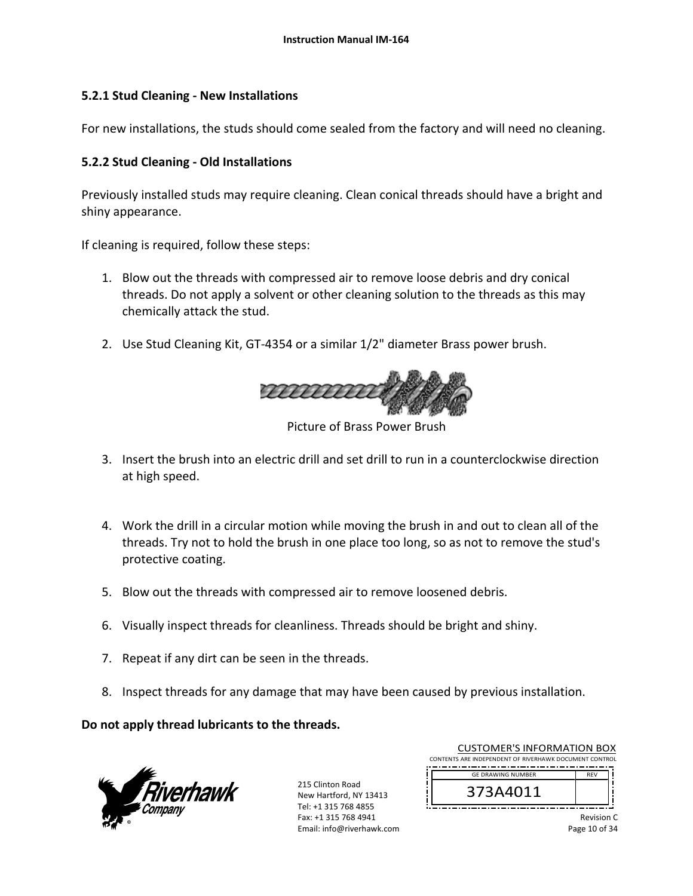## **5.2.1 Stud Cleaning ‐ New Installations**

For new installations, the studs should come sealed from the factory and will need no cleaning.

## **5.2.2 Stud Cleaning ‐ Old Installations**

Previously installed studs may require cleaning. Clean conical threads should have a bright and shiny appearance.

If cleaning is required, follow these steps:

- 1. Blow out the threads with compressed air to remove loose debris and dry conical threads. Do not apply a solvent or other cleaning solution to the threads as this may chemically attack the stud.
- 2. Use Stud Cleaning Kit, GT‐4354 or a similar 1/2" diameter Brass power brush.



Picture of Brass Power Brush

- 3. Insert the brush into an electric drill and set drill to run in a counterclockwise direction at high speed.
- 4. Work the drill in a circular motion while moving the brush in and out to clean all of the threads. Try not to hold the brush in one place too long, so as not to remove the stud's protective coating.
- 5. Blow out the threads with compressed air to remove loosened debris.
- 6. Visually inspect threads for cleanliness. Threads should be bright and shiny.
- 7. Repeat if any dirt can be seen in the threads.
- 8. Inspect threads for any damage that may have been caused by previous installation.

**Do not apply thread lubricants to the threads.** 



| <b>CUSTOMER'S INFORMATION BOX</b><br>CONTENTS ARE INDEPENDENT OF RIVERHAWK DOCUMENT CONTROL |            |
|---------------------------------------------------------------------------------------------|------------|
| <b>GF DRAWING NUMBER</b>                                                                    | <b>RFV</b> |
| 373A4011                                                                                    |            |

|               |  | Revision C |
|---------------|--|------------|
| Page 10 of 34 |  |            |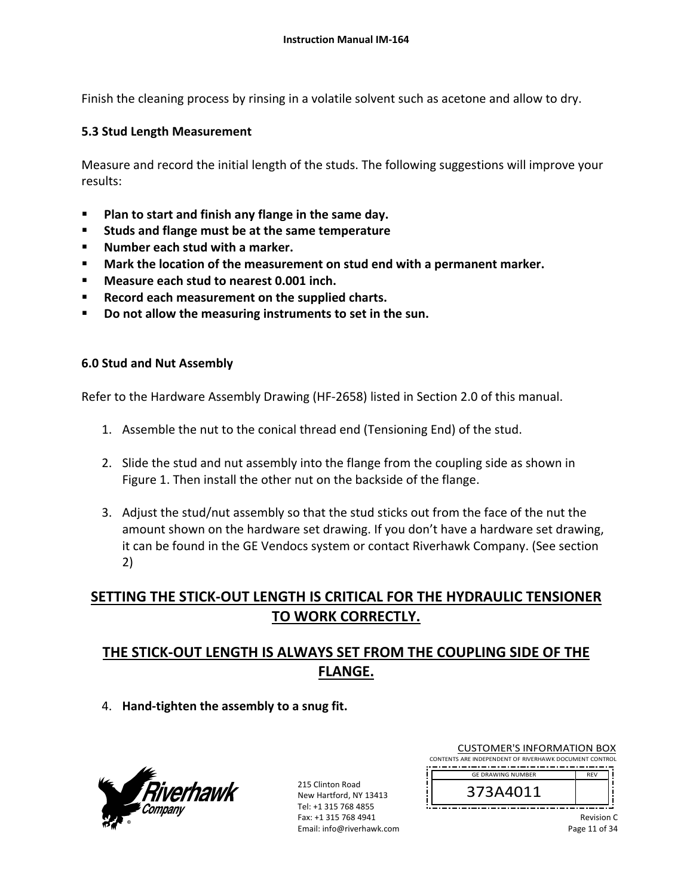Finish the cleaning process by rinsing in a volatile solvent such as acetone and allow to dry.

## **5.3 Stud Length Measurement**

Measure and record the initial length of the studs. The following suggestions will improve your results:

- **Plan to start and finish any flange in the same day.**
- **Studs and flange must be at the same temperature**
- **Number each stud with a marker.**
- **Mark the location of the measurement on stud end with a permanent marker.**
- **Measure each stud to nearest 0.001 inch.**
- **Record each measurement on the supplied charts.**
- **Do not allow the measuring instruments to set in the sun.**

#### **6.0 Stud and Nut Assembly**

Refer to the Hardware Assembly Drawing (HF‐2658) listed in Section 2.0 of this manual.

- 1. Assemble the nut to the conical thread end (Tensioning End) of the stud.
- 2. Slide the stud and nut assembly into the flange from the coupling side as shown in Figure 1. Then install the other nut on the backside of the flange.
- 3. Adjust the stud/nut assembly so that the stud sticks out from the face of the nut the amount shown on the hardware set drawing. If you don't have a hardware set drawing, it can be found in the GE Vendocs system or contact Riverhawk Company. (See section 2)

# **SETTING THE STICK‐OUT LENGTH IS CRITICAL FOR THE HYDRAULIC TENSIONER TO WORK CORRECTLY.**

# **THE STICK‐OUT LENGTH IS ALWAYS SET FROM THE COUPLING SIDE OF THE FLANGE.**

4. **Hand‐tighten the assembly to a snug fit.**



| <b>CUSTOMER'S INFORMATION BOX</b>                      |            |  |
|--------------------------------------------------------|------------|--|
| CONTENTS ARE INDEPENDENT OF RIVERHAWK DOCUMENT CONTROL |            |  |
| <b>GE DRAWING NUMBER</b>                               | <b>RFV</b> |  |
|                                                        |            |  |



|               |  | Revision C |
|---------------|--|------------|
| Page 11 of 34 |  |            |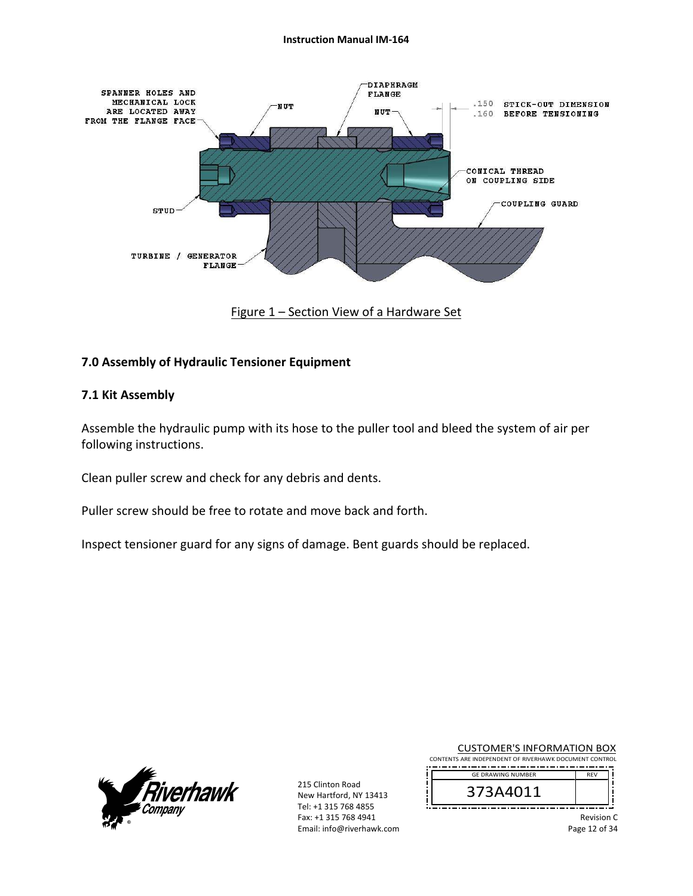

Figure 1 – Section View of a Hardware Set

#### **7.0 Assembly of Hydraulic Tensioner Equipment**

#### **7.1 Kit Assembly**

Assemble the hydraulic pump with its hose to the puller tool and bleed the system of air per following instructions.

Clean puller screw and check for any debris and dents.

Puller screw should be free to rotate and move back and forth.

Inspect tensioner guard for any signs of damage. Bent guards should be replaced.



215 Clinton Road New Hartford, NY 13413 Tel: +1 315 768 4855 Fax: +1 315 768 4941 Email: info@riverhawk.com

CUSTOMER'S INFORMATION BOX CONTENTS ARE INDEPENDENT OF RIVERHAWK DOCUMENT CONTROL 

GE DRAWING NUMBER 373A4011 

> Revision C Page 12 of 34

REV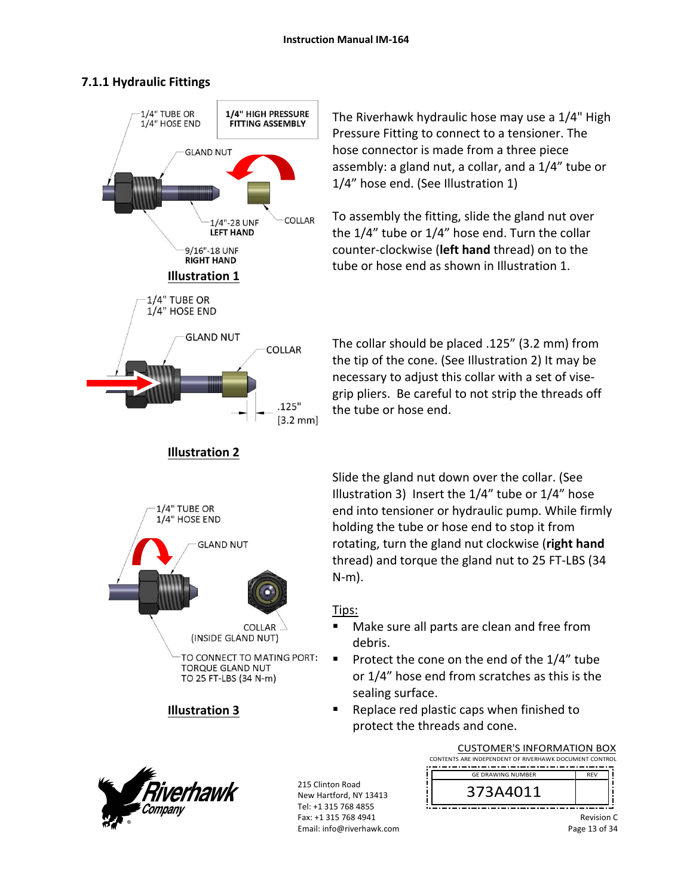## **7.1.1 Hydraulic Fittings**



**Illustration 2** 

The Riverhawk hydraulic hose may use a 1/4" High Pressure Fitting to connect to a tensioner. The hose connector is made from a three piece assembly: a gland nut, a collar, and a 1/4" tube or 1/4" hose end. (See Illustration 1)

To assembly the fitting, slide the gland nut over the 1/4" tube or 1/4" hose end. Turn the collar counter‐clockwise (**left hand** thread) on to the tube or hose end as shown in Illustration 1.

The collar should be placed .125" (3.2 mm) from the tip of the cone. (See Illustration 2) It may be necessary to adjust this collar with a set of vise‐ grip pliers. Be careful to not strip the threads off the tube or hose end.



**Illustration 3** 

Slide the gland nut down over the collar. (See Illustration 3) Insert the 1/4" tube or 1/4" hose end into tensioner or hydraulic pump. While firmly holding the tube or hose end to stop it from rotating, turn the gland nut clockwise (**right hand** thread) and torque the gland nut to 25 FT‐LBS (34 N‐m).

## Tips:

- Make sure all parts are clean and free from debris.
- Protect the cone on the end of the  $1/4$ " tube or 1/4" hose end from scratches as this is the sealing surface.
- Replace red plastic caps when finished to protect the threads and cone.



215 Clinton Road New Hartford, NY 13413 Tel: +1 315 768 4855 Fax: +1 315 768 4941 Email: info@riverhawk.com

| <b>CUSTOMER'S INFORMATION BOX</b>                      |            |  |  |
|--------------------------------------------------------|------------|--|--|
| CONTENTS ARE INDEPENDENT OF RIVERHAWK DOCUMENT CONTROL |            |  |  |
| <b>GE DRAWING NUMBER</b>                               | <b>RFV</b> |  |  |
| 373A4011                                               |            |  |  |

Revision C Page 13 of 34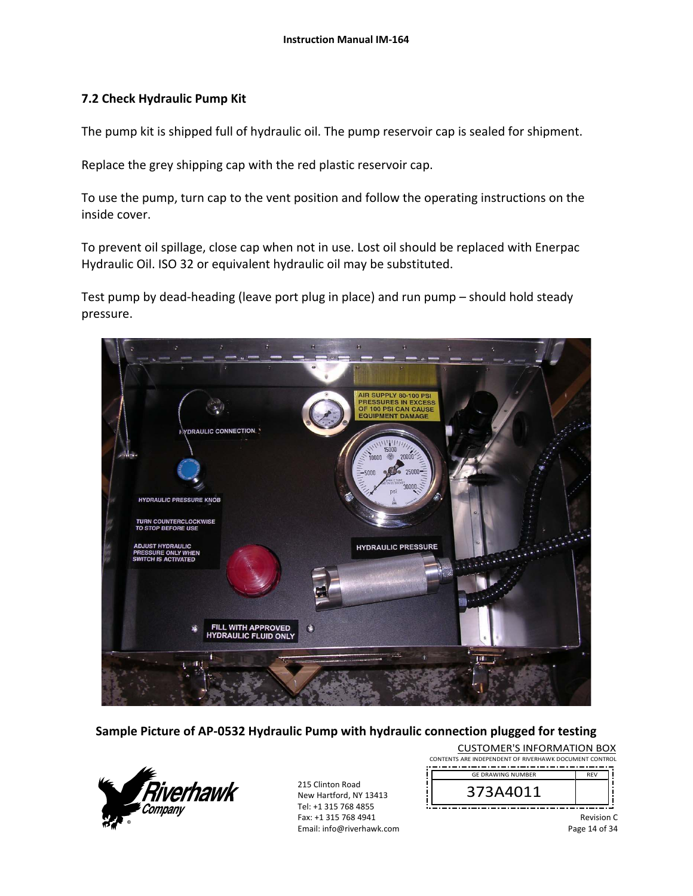#### **7.2 Check Hydraulic Pump Kit**

The pump kit is shipped full of hydraulic oil. The pump reservoir cap is sealed for shipment.

Replace the grey shipping cap with the red plastic reservoir cap.

To use the pump, turn cap to the vent position and follow the operating instructions on the inside cover.

To prevent oil spillage, close cap when not in use. Lost oil should be replaced with Enerpac Hydraulic Oil. ISO 32 or equivalent hydraulic oil may be substituted.

Test pump by dead‐heading (leave port plug in place) and run pump – should hold steady pressure.



**Sample Picture of AP‐0532 Hydraulic Pump with hydraulic connection plugged for testing** 



| <b>CUSTOMER'S INFORMATION BOX</b>                      |            |  |
|--------------------------------------------------------|------------|--|
| CONTENTS ARE INDEPENDENT OF RIVERHAWK DOCUMENT CONTROL |            |  |
| <b>GE DRAWING NUMBER</b>                               | <b>RFV</b> |  |
| 373A4011                                               |            |  |

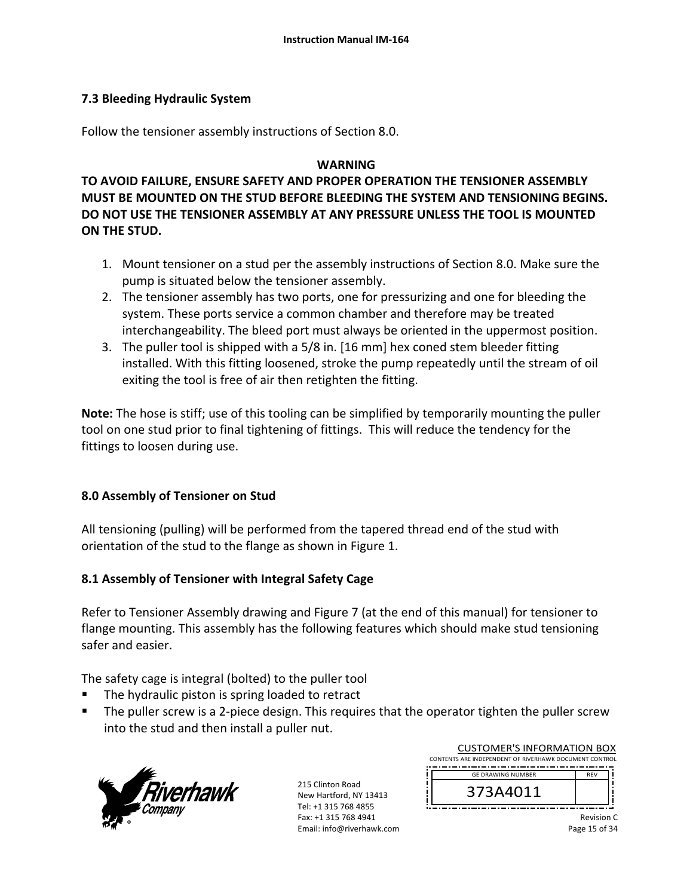### **7.3 Bleeding Hydraulic System**

Follow the tensioner assembly instructions of Section 8.0.

#### **WARNING**

**TO AVOID FAILURE, ENSURE SAFETY AND PROPER OPERATION THE TENSIONER ASSEMBLY MUST BE MOUNTED ON THE STUD BEFORE BLEEDING THE SYSTEM AND TENSIONING BEGINS. DO NOT USE THE TENSIONER ASSEMBLY AT ANY PRESSURE UNLESS THE TOOL IS MOUNTED ON THE STUD.** 

- 1. Mount tensioner on a stud per the assembly instructions of Section 8.0. Make sure the pump is situated below the tensioner assembly.
- 2. The tensioner assembly has two ports, one for pressurizing and one for bleeding the system. These ports service a common chamber and therefore may be treated interchangeability. The bleed port must always be oriented in the uppermost position.
- 3. The puller tool is shipped with a 5/8 in. [16 mm] hex coned stem bleeder fitting installed. With this fitting loosened, stroke the pump repeatedly until the stream of oil exiting the tool is free of air then retighten the fitting.

**Note:** The hose is stiff; use of this tooling can be simplified by temporarily mounting the puller tool on one stud prior to final tightening of fittings. This will reduce the tendency for the fittings to loosen during use.

#### **8.0 Assembly of Tensioner on Stud**

All tensioning (pulling) will be performed from the tapered thread end of the stud with orientation of the stud to the flange as shown in Figure 1.

## **8.1 Assembly of Tensioner with Integral Safety Cage**

Refer to Tensioner Assembly drawing and Figure 7 (at the end of this manual) for tensioner to flange mounting. This assembly has the following features which should make stud tensioning safer and easier.

The safety cage is integral (bolted) to the puller tool

- The hydraulic piston is spring loaded to retract
- The puller screw is a 2-piece design. This requires that the operator tighten the puller screw into the stud and then install a puller nut.



215 Clinton Road New Hartford, NY 13413 Tel: +1 315 768 4855 Fax: +1 315 768 4941 Email: info@riverhawk.com

| <b>CUSTOMER'S INFORMATION BOX</b>                      |            |  |
|--------------------------------------------------------|------------|--|
| CONTENTS ARE INDEPENDENT OF RIVERHAWK DOCUMENT CONTROL |            |  |
| <b>GE DRAWING NUMBER</b>                               | <b>RFV</b> |  |
| 373A4011                                               |            |  |

Revision C Page 15 of 34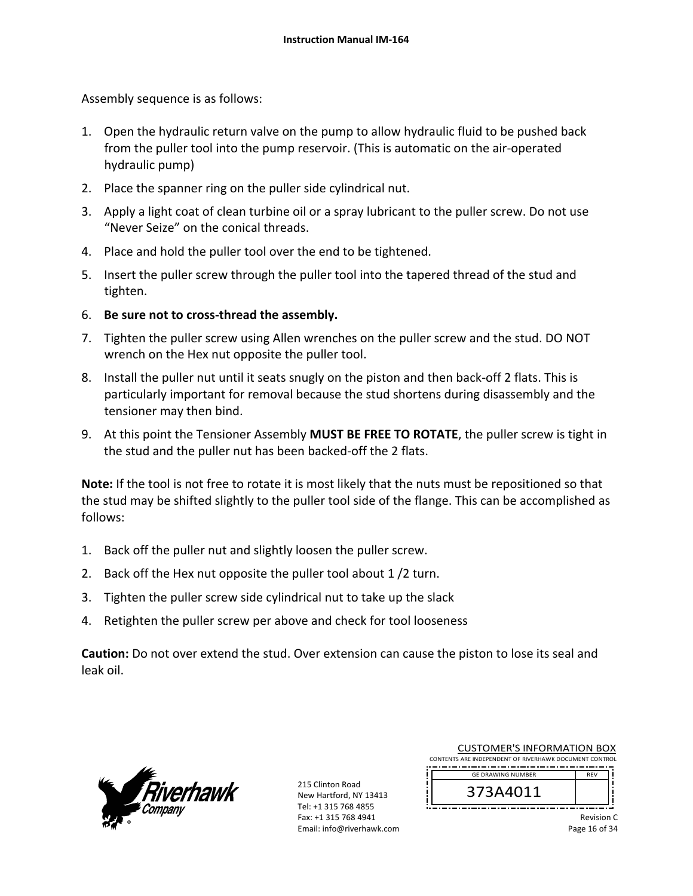Assembly sequence is as follows:

- 1. Open the hydraulic return valve on the pump to allow hydraulic fluid to be pushed back from the puller tool into the pump reservoir. (This is automatic on the air‐operated hydraulic pump)
- 2. Place the spanner ring on the puller side cylindrical nut.
- 3. Apply a light coat of clean turbine oil or a spray lubricant to the puller screw. Do not use "Never Seize" on the conical threads.
- 4. Place and hold the puller tool over the end to be tightened.
- 5. Insert the puller screw through the puller tool into the tapered thread of the stud and tighten.
- 6. **Be sure not to cross‐thread the assembly.**
- 7. Tighten the puller screw using Allen wrenches on the puller screw and the stud. DO NOT wrench on the Hex nut opposite the puller tool.
- 8. Install the puller nut until it seats snugly on the piston and then back‐off 2 flats. This is particularly important for removal because the stud shortens during disassembly and the tensioner may then bind.
- 9. At this point the Tensioner Assembly **MUST BE FREE TO ROTATE**, the puller screw is tight in the stud and the puller nut has been backed‐off the 2 flats.

**Note:** If the tool is not free to rotate it is most likely that the nuts must be repositioned so that the stud may be shifted slightly to the puller tool side of the flange. This can be accomplished as follows:

- 1. Back off the puller nut and slightly loosen the puller screw.
- 2. Back off the Hex nut opposite the puller tool about 1 /2 turn.
- 3. Tighten the puller screw side cylindrical nut to take up the slack
- 4. Retighten the puller screw per above and check for tool looseness

**Caution:** Do not over extend the stud. Over extension can cause the piston to lose its seal and leak oil.



215 Clinton Road New Hartford, NY 13413 Tel: +1 315 768 4855 Fax: +1 315 768 4941 Email: info@riverhawk.com

| <b>CUSTOMER'S INFORMATION BOX</b>                      |            |
|--------------------------------------------------------|------------|
| CONTENTS ARE INDEPENDENT OF RIVERHAWK DOCUMENT CONTROL |            |
| <b>GE DRAWING NUMBER</b>                               | <b>RFV</b> |
|                                                        |            |
| 373A4011                                               |            |
|                                                        |            |

Revision C Page 16 of 34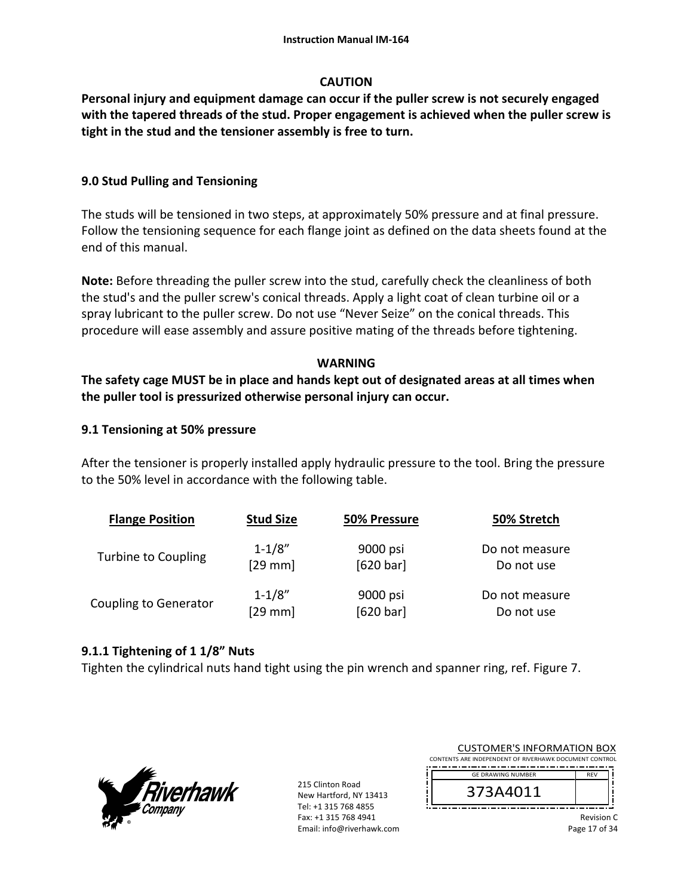## **CAUTION**

**Personal injury and equipment damage can occur if the puller screw is not securely engaged with the tapered threads of the stud. Proper engagement is achieved when the puller screw is tight in the stud and the tensioner assembly is free to turn.**

## **9.0 Stud Pulling and Tensioning**

The studs will be tensioned in two steps, at approximately 50% pressure and at final pressure. Follow the tensioning sequence for each flange joint as defined on the data sheets found at the end of this manual.

**Note:** Before threading the puller screw into the stud, carefully check the cleanliness of both the stud's and the puller screw's conical threads. Apply a light coat of clean turbine oil or a spray lubricant to the puller screw. Do not use "Never Seize" on the conical threads. This procedure will ease assembly and assure positive mating of the threads before tightening.

## **WARNING**

## **The safety cage MUST be in place and hands kept out of designated areas at all times when the puller tool is pressurized otherwise personal injury can occur.**

## **9.1 Tensioning at 50% pressure**

After the tensioner is properly installed apply hydraulic pressure to the tool. Bring the pressure to the 50% level in accordance with the following table.

| <b>Flange Position</b>       | <b>Stud Size</b>  | 50% Pressure | 50% Stretch    |
|------------------------------|-------------------|--------------|----------------|
| Turbine to Coupling          | $1 - 1/8"$        | 9000 psi     | Do not measure |
|                              | $[29 \text{ mm}]$ | [620 bar]    | Do not use     |
| <b>Coupling to Generator</b> | $1 - 1/8"$        | 9000 psi     | Do not measure |
|                              | [29 mm]           | [620 bar]    | Do not use     |

#### **9.1.1 Tightening of 1 1/8" Nuts**

Tighten the cylindrical nuts hand tight using the pin wrench and spanner ring, ref. Figure 7.



| <b>CUSTOMER'S INFORMATION BOX</b>                      |            |  |
|--------------------------------------------------------|------------|--|
| CONTENTS ARE INDEPENDENT OF RIVERHAWK DOCUMENT CONTROL |            |  |
| <b>GE DRAWING NUMBER</b>                               | <b>RFV</b> |  |
| 373A4011                                               |            |  |
|                                                        |            |  |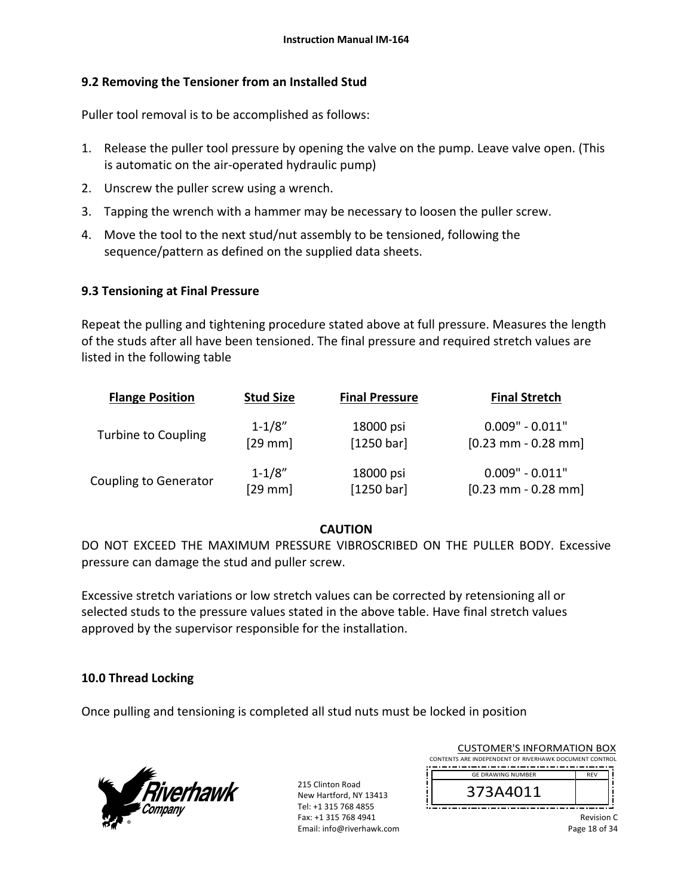## **9.2 Removing the Tensioner from an Installed Stud**

Puller tool removal is to be accomplished as follows:

- 1. Release the puller tool pressure by opening the valve on the pump. Leave valve open. (This is automatic on the air‐operated hydraulic pump)
- 2. Unscrew the puller screw using a wrench.
- 3. Tapping the wrench with a hammer may be necessary to loosen the puller screw.
- 4. Move the tool to the next stud/nut assembly to be tensioned, following the sequence/pattern as defined on the supplied data sheets.

## **9.3 Tensioning at Final Pressure**

Repeat the pulling and tightening procedure stated above at full pressure. Measures the length of the studs after all have been tensioned. The final pressure and required stretch values are listed in the following table

| <b>Flange Position</b>       | <b>Stud Size</b> | <b>Final Pressure</b> | <b>Final Stretch</b>  |
|------------------------------|------------------|-----------------------|-----------------------|
| <b>Turbine to Coupling</b>   | $1 - 1/8"$       | 18000 psi             | $0.009" - 0.011"$     |
|                              | $[29$ mm         | [1250 bar]            | $[0.23$ mm - 0.28 mm  |
| <b>Coupling to Generator</b> | $1 - 1/8"$       | 18000 psi             | $0.009" - 0.011"$     |
|                              | $[29$ mm         | [1250 bar]            | $[0.23$ mm - 0.28 mm] |

## **CAUTION**

DO NOT EXCEED THE MAXIMUM PRESSURE VIBROSCRIBED ON THE PULLER BODY. Excessive pressure can damage the stud and puller screw.

Excessive stretch variations or low stretch values can be corrected by retensioning all or selected studs to the pressure values stated in the above table. Have final stretch values approved by the supervisor responsible for the installation.

## **10.0 Thread Locking**

Once pulling and tensioning is completed all stud nuts must be locked in position



| <b>CUSTOMER'S INFORMATION BOX</b>                      |            |  |
|--------------------------------------------------------|------------|--|
| CONTENTS ARE INDEPENDENT OF RIVERHAWK DOCUMENT CONTROL |            |  |
| <b>GE DRAWING NUMBER</b>                               | <b>RFV</b> |  |
| 373A4011                                               |            |  |

Revision C Page 18 of 34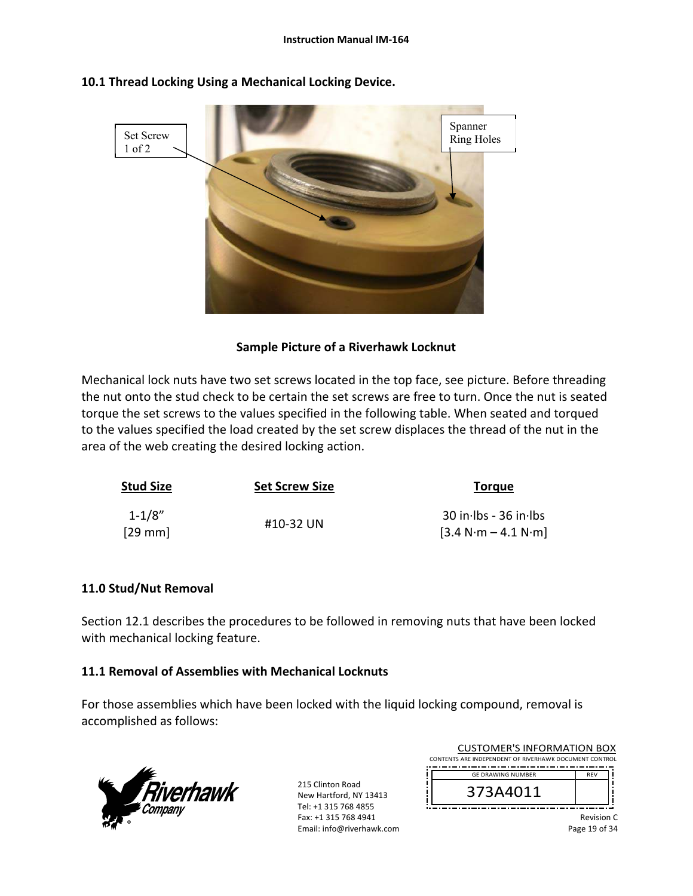

## **10.1 Thread Locking Using a Mechanical Locking Device.**

## **Sample Picture of a Riverhawk Locknut**

Mechanical lock nuts have two set screws located in the top face, see picture. Before threading the nut onto the stud check to be certain the set screws are free to turn. Once the nut is seated torque the set screws to the values specified in the following table. When seated and torqued to the values specified the load created by the set screw displaces the thread of the nut in the area of the web creating the desired locking action.

| <b>Stud Size</b>                | <b>Set Screw Size</b> | <b>Torgue</b>                                    |  |
|---------------------------------|-----------------------|--------------------------------------------------|--|
| $1 - 1/8"$<br>$[29 \text{ mm}]$ | #10-32 UN             | $30$ in Ibs - 36 in Ibs<br>$[3.4 N·m - 4.1 N·m]$ |  |

#### **11.0 Stud/Nut Removal**

Section 12.1 describes the procedures to be followed in removing nuts that have been locked with mechanical locking feature.

#### **11.1 Removal of Assemblies with Mechanical Locknuts**

For those assemblies which have been locked with the liquid locking compound, removal is accomplished as follows:



215 Clinton Road New Hartford, NY 13413 Tel: +1 315 768 4855 Fax: +1 315 768 4941 Email: info@riverhawk.com

| <b>CUSTOMER'S INFORMATION BOX</b>                      |            |  |
|--------------------------------------------------------|------------|--|
| CONTENTS ARE INDEPENDENT OF RIVERHAWK DOCUMENT CONTROL |            |  |
| <b>GE DRAWING NUMBER</b>                               | <b>RFV</b> |  |
| 373A4011                                               |            |  |

Revision C Page 19 of 34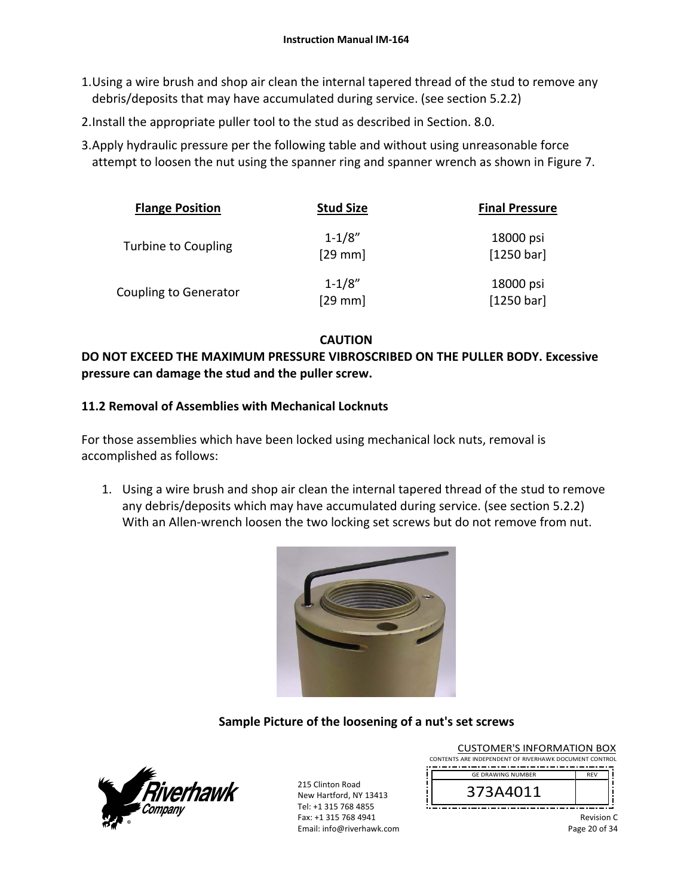- 1.Using a wire brush and shop air clean the internal tapered thread of the stud to remove any debris/deposits that may have accumulated during service. (see section 5.2.2)
- 2.Install the appropriate puller tool to the stud as described in Section. 8.0.
- 3.Apply hydraulic pressure per the following table and without using unreasonable force attempt to loosen the nut using the spanner ring and spanner wrench as shown in Figure 7.

| <b>Flange Position</b>       | <b>Stud Size</b>        | <b>Final Pressure</b>   |
|------------------------------|-------------------------|-------------------------|
| Turbine to Coupling          | $1 - 1/8"$<br>$[29$ mm] | 18000 psi<br>[1250 bar] |
| <b>Coupling to Generator</b> | $1 - 1/8"$<br>$[29$ mm] | 18000 psi<br>[1250 bar] |

**CAUTION** 

## **DO NOT EXCEED THE MAXIMUM PRESSURE VIBROSCRIBED ON THE PULLER BODY. Excessive pressure can damage the stud and the puller screw.**

## **11.2 Removal of Assemblies with Mechanical Locknuts**

For those assemblies which have been locked using mechanical lock nuts, removal is accomplished as follows:

1. Using a wire brush and shop air clean the internal tapered thread of the stud to remove any debris/deposits which may have accumulated during service. (see section 5.2.2) With an Allen-wrench loosen the two locking set screws but do not remove from nut.



# **Sample Picture of the loosening of a nut's set screws**



215 Clinton Road New Hartford, NY 13413 Tel: +1 315 768 4855 Fax: +1 315 768 4941 Email: info@riverhawk.com

| 272 A 4 A 1 1                                          |            |  |
|--------------------------------------------------------|------------|--|
| <b>GE DRAWING NUMBER</b>                               | <b>RFV</b> |  |
| CONTENTS ARE INDEPENDENT OF RIVERHAWK DOCUMENT CONTROL |            |  |
| <b>CUSTOMER'S INFORMATION BOX</b>                      |            |  |



Revision C Page 20 of 34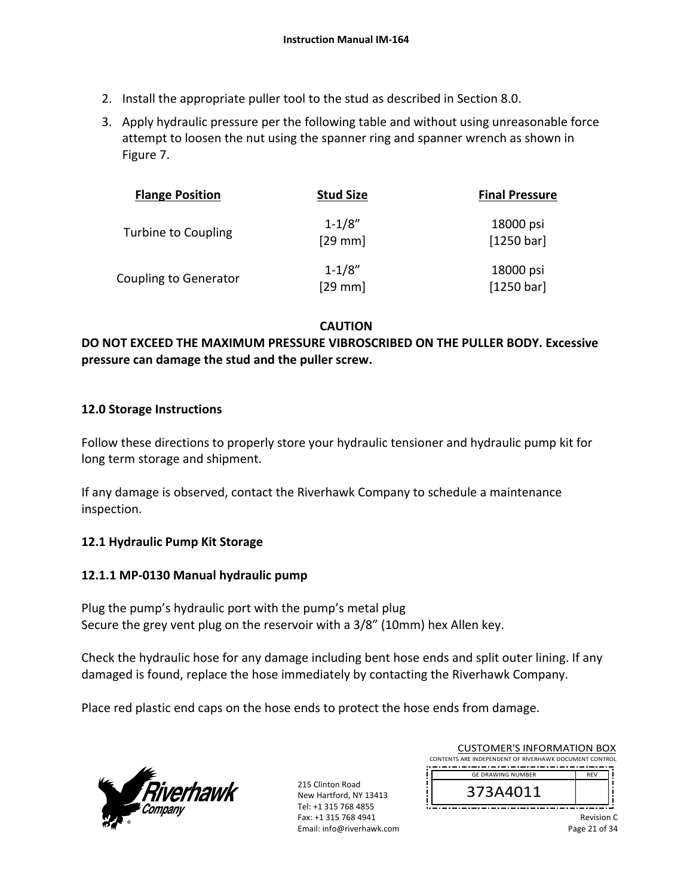- 2. Install the appropriate puller tool to the stud as described in Section 8.0.
- 3. Apply hydraulic pressure per the following table and without using unreasonable force attempt to loosen the nut using the spanner ring and spanner wrench as shown in Figure 7.

| <b>Flange Position</b>       | <b>Stud Size</b>        | <b>Final Pressure</b>   |
|------------------------------|-------------------------|-------------------------|
| Turbine to Coupling          | $1 - 1/8"$<br>$[29$ mm] | 18000 psi<br>[1250 bar] |
| <b>Coupling to Generator</b> | $1 - 1/8"$<br>$[29$ mm] | 18000 psi<br>[1250 bar] |

**CAUTION** 

## **DO NOT EXCEED THE MAXIMUM PRESSURE VIBROSCRIBED ON THE PULLER BODY. Excessive pressure can damage the stud and the puller screw.**

## **12.0 Storage Instructions**

Follow these directions to properly store your hydraulic tensioner and hydraulic pump kit for long term storage and shipment.

If any damage is observed, contact the Riverhawk Company to schedule a maintenance inspection.

## **12.1 Hydraulic Pump Kit Storage**

#### **12.1.1 MP‐0130 Manual hydraulic pump**

Plug the pump's hydraulic port with the pump's metal plug Secure the grey vent plug on the reservoir with a 3/8" (10mm) hex Allen key.

Check the hydraulic hose for any damage including bent hose ends and split outer lining. If any damaged is found, replace the hose immediately by contacting the Riverhawk Company.

Place red plastic end caps on the hose ends to protect the hose ends from damage.



215 Clinton Road New Hartford, NY 13413 Tel: +1 315 768 4855 Fax: +1 315 768 4941 Email: info@riverhawk.com

| CUSTOMER'S INFORMATION BOX                             |  |  |
|--------------------------------------------------------|--|--|
| CONTENTS ARE INDEPENDENT OF RIVERHAWK DOCUMENT CONTROL |  |  |
|                                                        |  |  |
| <b>RFV</b><br><b>GE DRAWING NUMBER</b>                 |  |  |
| 373A4011                                               |  |  |

 $CUTO$  is a series in FORMATION BOX

Revision C Page 21 of 34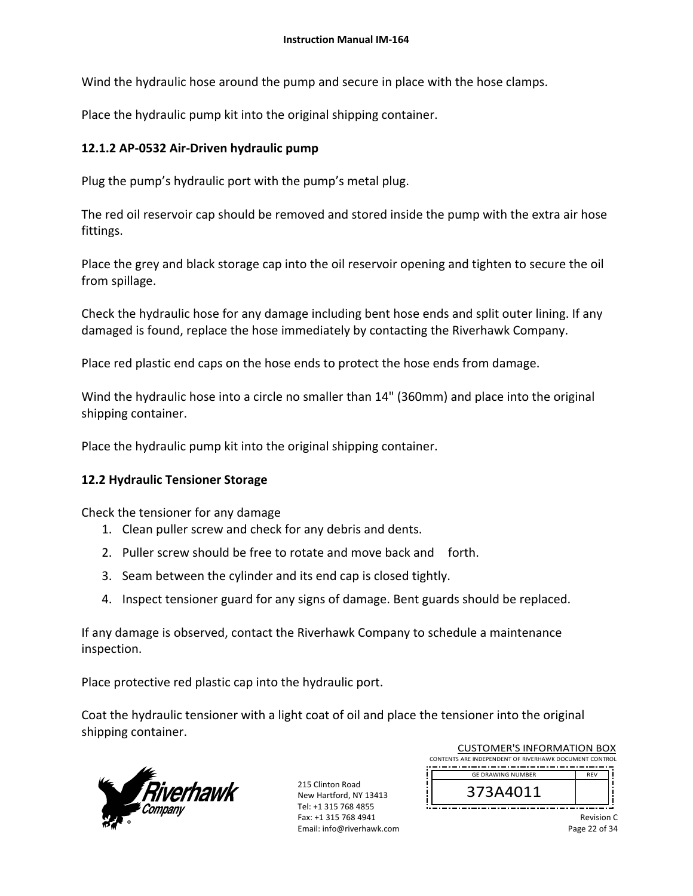Wind the hydraulic hose around the pump and secure in place with the hose clamps.

Place the hydraulic pump kit into the original shipping container.

## **12.1.2 AP‐0532 Air‐Driven hydraulic pump**

Plug the pump's hydraulic port with the pump's metal plug.

The red oil reservoir cap should be removed and stored inside the pump with the extra air hose fittings.

Place the grey and black storage cap into the oil reservoir opening and tighten to secure the oil from spillage.

Check the hydraulic hose for any damage including bent hose ends and split outer lining. If any damaged is found, replace the hose immediately by contacting the Riverhawk Company.

Place red plastic end caps on the hose ends to protect the hose ends from damage.

Wind the hydraulic hose into a circle no smaller than 14" (360mm) and place into the original shipping container.

Place the hydraulic pump kit into the original shipping container.

#### **12.2 Hydraulic Tensioner Storage**

Check the tensioner for any damage

- 1. Clean puller screw and check for any debris and dents.
- 2. Puller screw should be free to rotate and move back and forth.
- 3. Seam between the cylinder and its end cap is closed tightly.
- 4. Inspect tensioner guard for any signs of damage. Bent guards should be replaced.

If any damage is observed, contact the Riverhawk Company to schedule a maintenance inspection.

Place protective red plastic cap into the hydraulic port.

Coat the hydraulic tensioner with a light coat of oil and place the tensioner into the original shipping container.



215 Clinton Road New Hartford, NY 13413 Tel: +1 315 768 4855 Fax: +1 315 768 4941 Email: info@riverhawk.com

| CUSTOMER'S INFORMATION BOX                             |            |  |
|--------------------------------------------------------|------------|--|
| CONTENTS ARE INDEPENDENT OF RIVERHAWK DOCUMENT CONTROL |            |  |
|                                                        |            |  |
| <b>GE DRAWING NUMBER</b>                               | <b>RFV</b> |  |
| 373A4011                                               |            |  |

 $CUTO$  is a series in FORMATION BOX

Revision C Page 22 of 34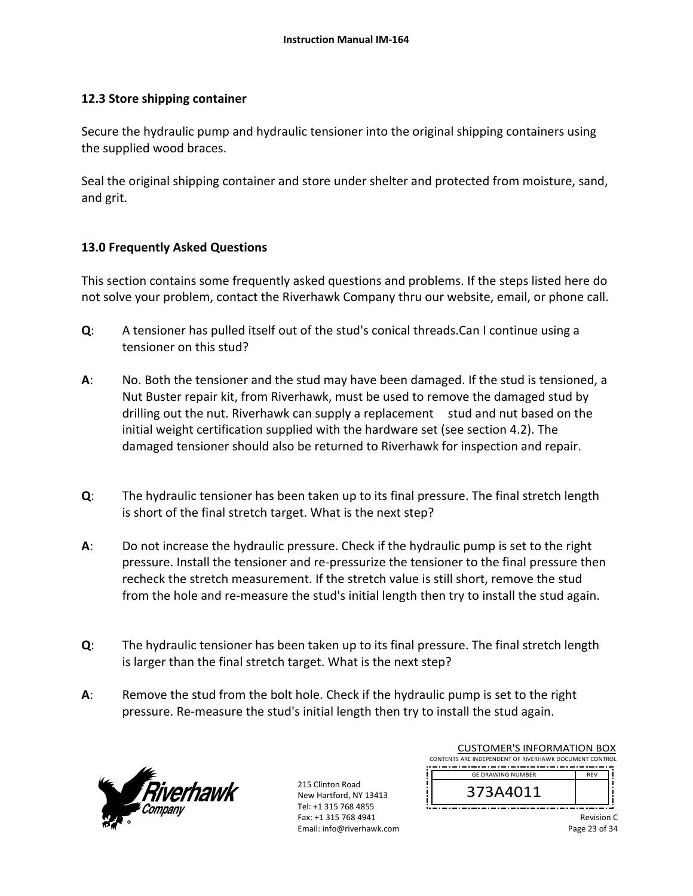#### **12.3 Store shipping container**

Secure the hydraulic pump and hydraulic tensioner into the original shipping containers using the supplied wood braces.

Seal the original shipping container and store under shelter and protected from moisture, sand, and grit.

## **13.0 Frequently Asked Questions**

This section contains some frequently asked questions and problems. If the steps listed here do not solve your problem, contact the Riverhawk Company thru our website, email, or phone call.

- **Q**: A tensioner has pulled itself out of the stud's conical threads.Can I continue using a tensioner on this stud?
- **A**: No. Both the tensioner and the stud may have been damaged. If the stud is tensioned, a Nut Buster repair kit, from Riverhawk, must be used to remove the damaged stud by drilling out the nut. Riverhawk can supply a replacement stud and nut based on the initial weight certification supplied with the hardware set (see section 4.2). The damaged tensioner should also be returned to Riverhawk for inspection and repair.
- **Q**: The hydraulic tensioner has been taken up to its final pressure. The final stretch length is short of the final stretch target. What is the next step?
- **A**: Do not increase the hydraulic pressure. Check if the hydraulic pump is set to the right pressure. Install the tensioner and re‐pressurize the tensioner to the final pressure then recheck the stretch measurement. If the stretch value is still short, remove the stud from the hole and re-measure the stud's initial length then try to install the stud again.
- **Q**: The hydraulic tensioner has been taken up to its final pressure. The final stretch length is larger than the final stretch target. What is the next step?
- **A**: Remove the stud from the bolt hole. Check if the hydraulic pump is set to the right pressure. Re‐measure the stud's initial length then try to install the stud again.



| <b>CUSTOMER'S INFORMATION BOX</b>                      |            |  |
|--------------------------------------------------------|------------|--|
| CONTENTS ARE INDEPENDENT OF RIVERHAWK DOCUMENT CONTROL |            |  |
|                                                        |            |  |
| <b>GE DRAWING NUMBER</b>                               | <b>RFV</b> |  |
| 373A4011                                               |            |  |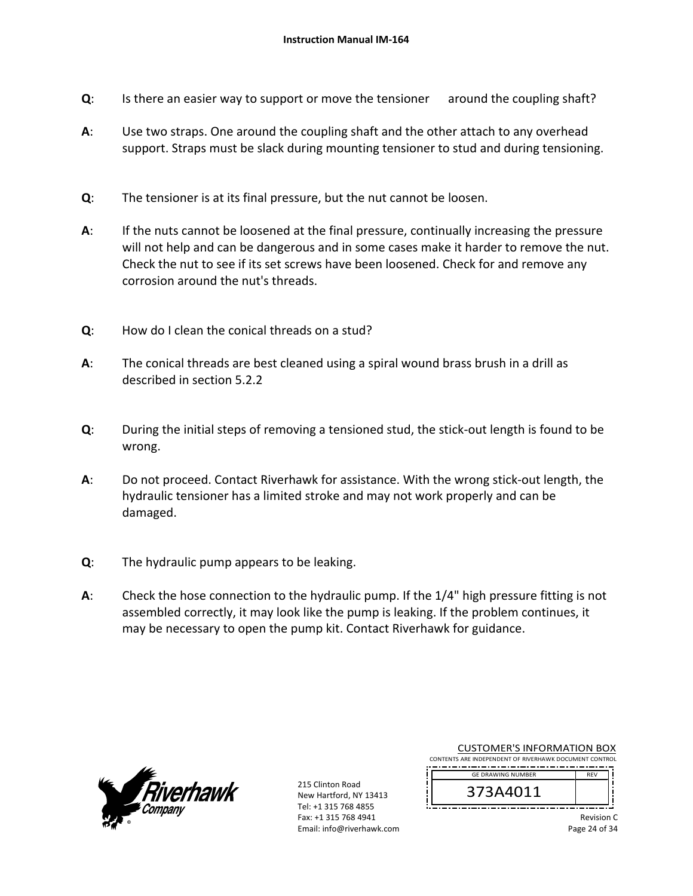- **Q**: Is there an easier way to support or move the tensioner around the coupling shaft?
- **A**: Use two straps. One around the coupling shaft and the other attach to any overhead support. Straps must be slack during mounting tensioner to stud and during tensioning.
- **Q**: The tensioner is at its final pressure, but the nut cannot be loosen.
- **A**: If the nuts cannot be loosened at the final pressure, continually increasing the pressure will not help and can be dangerous and in some cases make it harder to remove the nut. Check the nut to see if its set screws have been loosened. Check for and remove any corrosion around the nut's threads.
- **Q**: How do I clean the conical threads on a stud?
- **A**: The conical threads are best cleaned using a spiral wound brass brush in a drill as described in section 5.2.2
- **Q**: During the initial steps of removing a tensioned stud, the stick‐out length is found to be wrong.
- **A**: Do not proceed. Contact Riverhawk for assistance. With the wrong stick‐out length, the hydraulic tensioner has a limited stroke and may not work properly and can be damaged.
- **Q**: The hydraulic pump appears to be leaking.
- **A**: Check the hose connection to the hydraulic pump. If the 1/4" high pressure fitting is not assembled correctly, it may look like the pump is leaking. If the problem continues, it may be necessary to open the pump kit. Contact Riverhawk for guidance.



215 Clinton Road New Hartford, NY 13413 Tel: +1 315 768 4855 Fax: +1 315 768 4941 Email: info@riverhawk.com

| ำ¬า ^ <i>^</i> ^ <i>^</i> ^ <i>^</i>                   |            |  |
|--------------------------------------------------------|------------|--|
| <b>GE DRAWING NUMBER</b>                               | <b>RFV</b> |  |
| CONTENTS ARE INDEPENDENT OF RIVERHAWK DOCUMENT CONTROL |            |  |
| CUSTOMER'S INFORMATION BOX                             |            |  |

CUSTOMER'S INFORMATION BOX

373A4011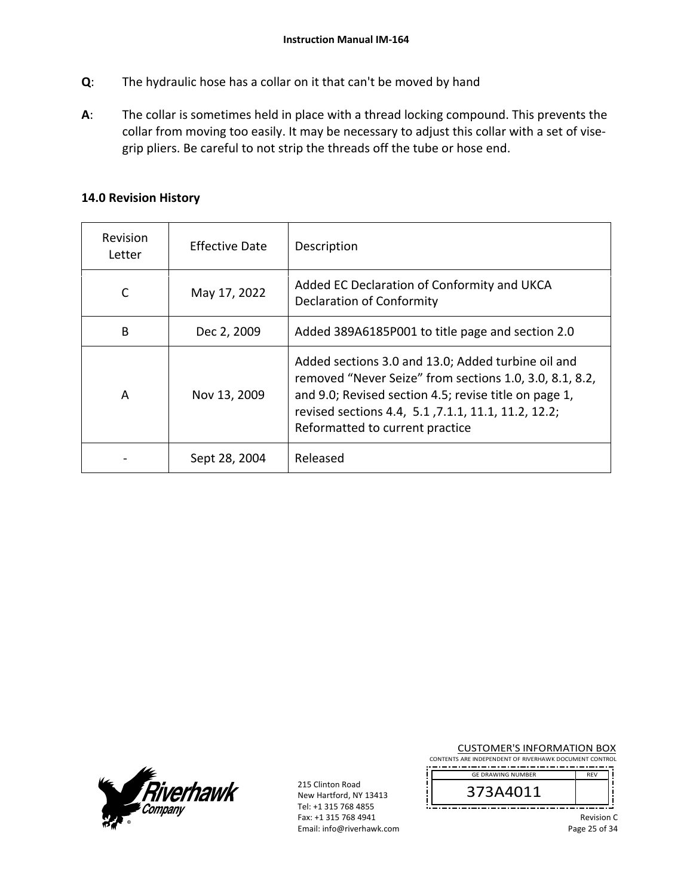- **Q**: The hydraulic hose has a collar on it that can't be moved by hand
- **A**: The collar is sometimes held in place with a thread locking compound. This prevents the collar from moving too easily. It may be necessary to adjust this collar with a set of vise‐ grip pliers. Be careful to not strip the threads off the tube or hose end.

#### **14.0 Revision History**

| Revision<br>Letter | <b>Effective Date</b> | Description                                                                                                                                                                                                                                                      |
|--------------------|-----------------------|------------------------------------------------------------------------------------------------------------------------------------------------------------------------------------------------------------------------------------------------------------------|
| C                  | May 17, 2022          | Added EC Declaration of Conformity and UKCA<br><b>Declaration of Conformity</b>                                                                                                                                                                                  |
| B                  | Dec 2, 2009           | Added 389A6185P001 to title page and section 2.0                                                                                                                                                                                                                 |
| A                  | Nov 13, 2009          | Added sections 3.0 and 13.0; Added turbine oil and<br>removed "Never Seize" from sections 1.0, 3.0, 8.1, 8.2,<br>and 9.0; Revised section 4.5; revise title on page 1,<br>revised sections 4.4, 5.1, 7.1.1, 11.1, 11.2, 12.2;<br>Reformatted to current practice |
|                    | Sept 28, 2004         | Released                                                                                                                                                                                                                                                         |



215 Clinton Road New Hartford, NY 13413 Tel: +1 315 768 4855 Fax: +1 315 768 4941 Email: info@riverhawk.com

CUSTOMER'S INFORMATION BOX CONTENTS ARE INDEPENDENT OF RIVERHAWK DOCUMENT CONTROL

 REV GE DRAWING NUMBER

373A4011 \_\_\_\_\_\_\_\_\_\_\_\_

> Revision C Page 25 of 34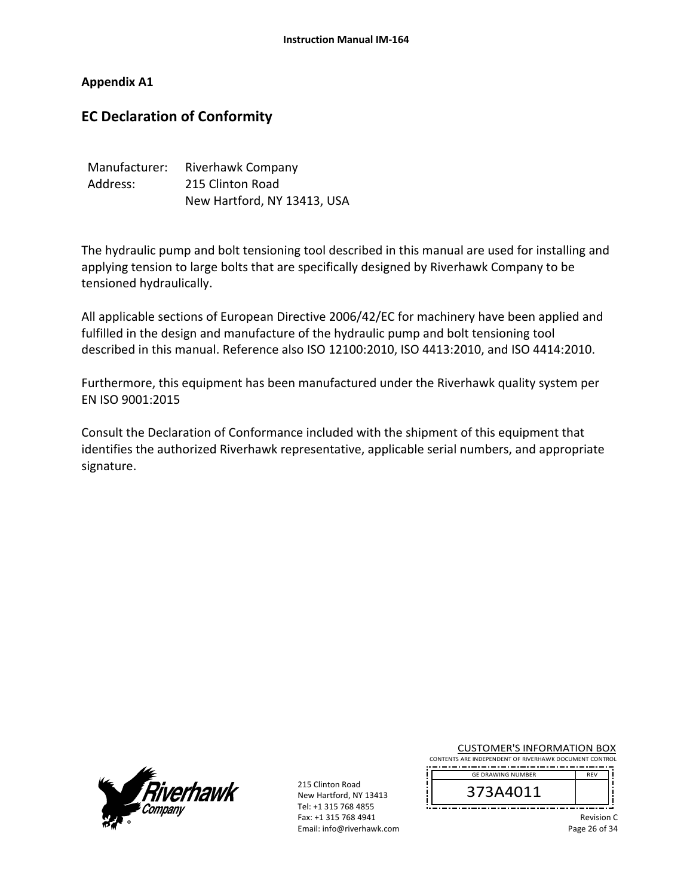**Appendix A1** 

# **EC Declaration of Conformity**

| Manufacturer: | Riverhawk Company           |
|---------------|-----------------------------|
| Address:      | 215 Clinton Road            |
|               | New Hartford, NY 13413, USA |

The hydraulic pump and bolt tensioning tool described in this manual are used for installing and applying tension to large bolts that are specifically designed by Riverhawk Company to be tensioned hydraulically.

All applicable sections of European Directive 2006/42/EC for machinery have been applied and fulfilled in the design and manufacture of the hydraulic pump and bolt tensioning tool described in this manual. Reference also ISO 12100:2010, ISO 4413:2010, and ISO 4414:2010.

Furthermore, this equipment has been manufactured under the Riverhawk quality system per EN ISO 9001:2015

Consult the Declaration of Conformance included with the shipment of this equipment that identifies the authorized Riverhawk representative, applicable serial numbers, and appropriate signature.



215 Clinton Road New Hartford, NY 13413 Tel: +1 315 768 4855 Fax: +1 315 768 4941 Email: info@riverhawk.com

CUSTOMER'S INFORMATION BOX CONTENTS ARE INDEPENDENT OF RIVERHAWK DOCUMENT CONTROL

,,,,,,,,,,,,,,,,,,,,,,,,,,,,,,,,,,, REV GE DRAWING NUMBER



Revision C Page 26 of 34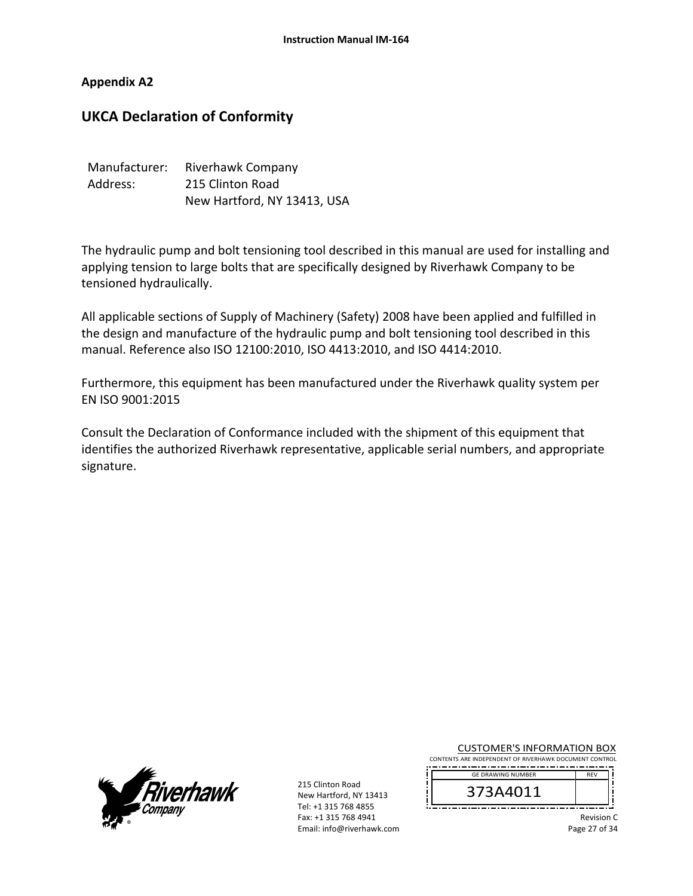**Appendix A2** 

# **UKCA Declaration of Conformity**

| Manufacturer: | Riverhawk Company           |
|---------------|-----------------------------|
| Address:      | 215 Clinton Road            |
|               | New Hartford, NY 13413, USA |

The hydraulic pump and bolt tensioning tool described in this manual are used for installing and applying tension to large bolts that are specifically designed by Riverhawk Company to be tensioned hydraulically.

All applicable sections of Supply of Machinery (Safety) 2008 have been applied and fulfilled in the design and manufacture of the hydraulic pump and bolt tensioning tool described in this manual. Reference also ISO 12100:2010, ISO 4413:2010, and ISO 4414:2010.

Furthermore, this equipment has been manufactured under the Riverhawk quality system per EN ISO 9001:2015

Consult the Declaration of Conformance included with the shipment of this equipment that identifies the authorized Riverhawk representative, applicable serial numbers, and appropriate signature.



215 Clinton Road New Hartford, NY 13413 Tel: +1 315 768 4855 Fax: +1 315 768 4941 Email: info@riverhawk.com

CUSTOMER'S INFORMATION BOX CONTENTS ARE INDEPENDENT OF RIVERHAWK DOCUMENT CONTROL

373A4011<br>----------------GE DRAWING NUMBER

,,,,,,,,,,,,,,,,,,,,,,,,,,,,,,,,,,,

Revision C Page 27 of 34

REV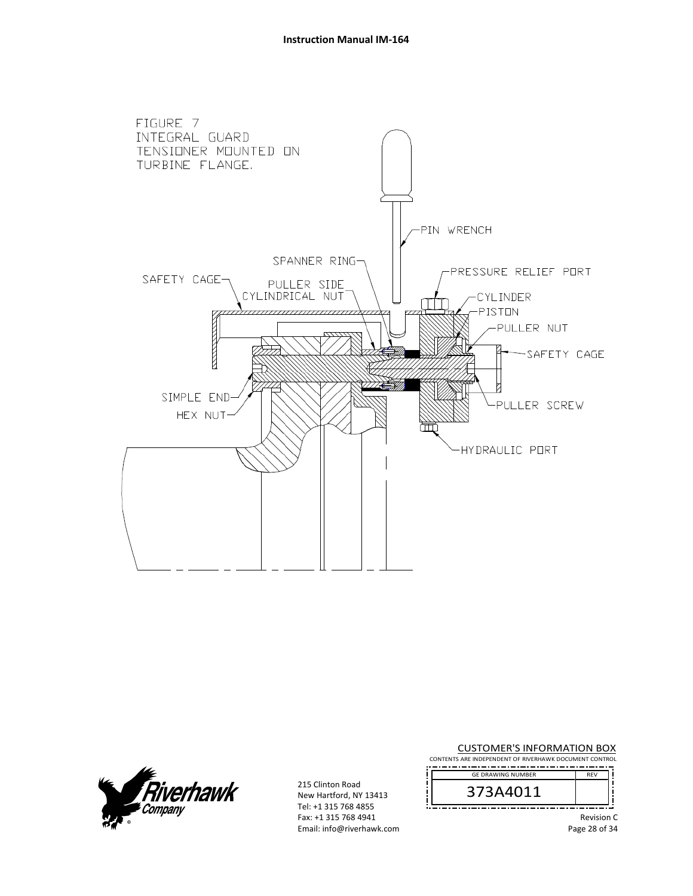



215 Clinton Road New Hartford, NY 13413 Tel: +1 315 768 4855 Fax: +1 315 768 4941 Email: info@riverhawk.com CUSTOMER'S INFORMATION BOX

CONTENTS ARE INDEPENDENT OF RIVERHAWK DOCUMENT CONTROL REV GE DRAWING NUMBER



Revision C Page 28 of 34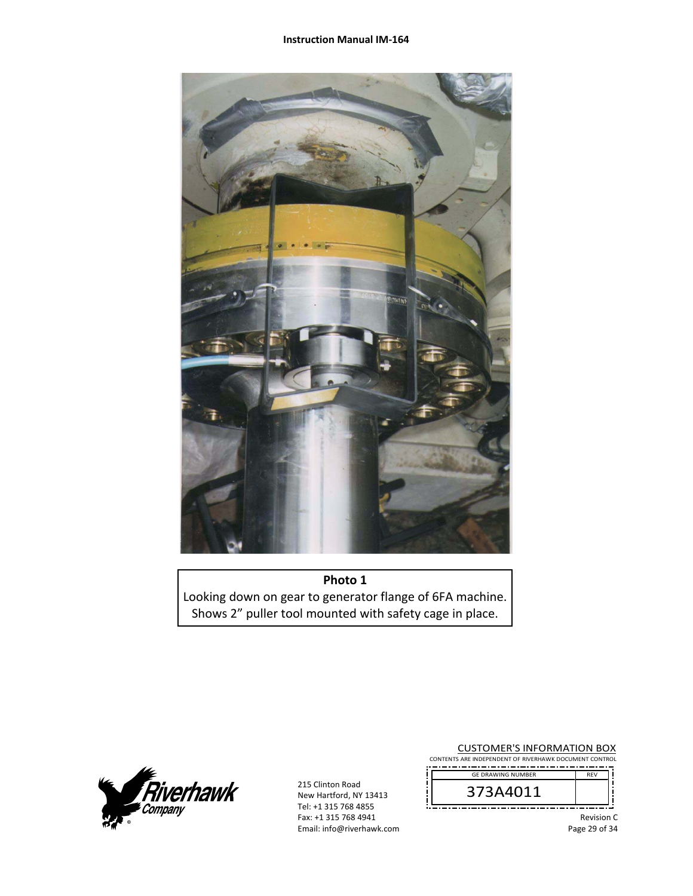

**Photo 1**  Looking down on gear to generator flange of 6FA machine. Shows 2" puller tool mounted with safety cage in place.



215 Clinton Road New Hartford, NY 13413 Tel: +1 315 768 4855 Fax: +1 315 768 4941 Email: info@riverhawk.com

CUSTOMER'S INFORMATION BOX CONTENTS ARE INDEPENDENT OF RIVERHAWK DOCUMENT CONTROL -------------------------------------



Revision C Page 29 of 34

REV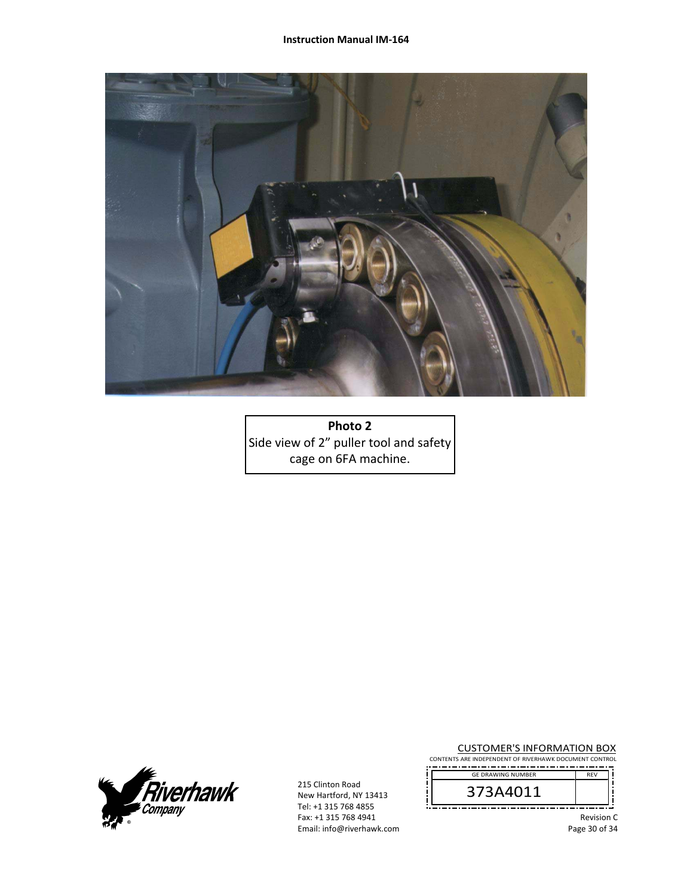

**Photo 2**  Side view of 2" puller tool and safety cage on 6FA machine.



215 Clinton Road New Hartford, NY 13413 Tel: +1 315 768 4855 Fax: +1 315 768 4941 Email: info@riverhawk.com

CUSTOMER'S INFORMATION BOX CONTENTS ARE INDEPENDENT OF RIVERHAWK DOCUMENT CONTROL

-------------------------------------REV GE DRAWING NUMBER

373A4011

Revision C Page 30 of 34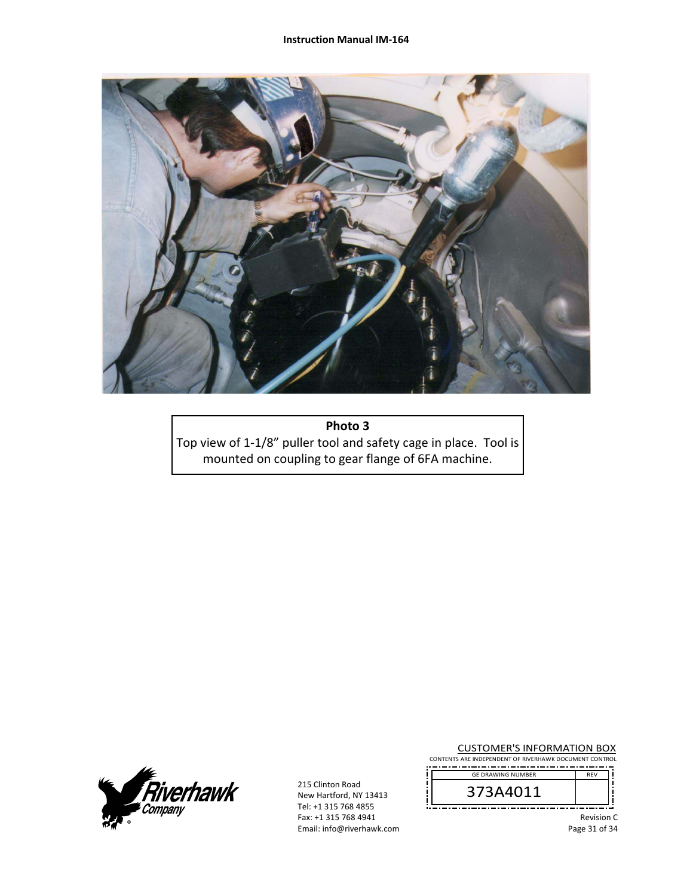

**Photo 3** Top view of 1‐1/8" puller tool and safety cage in place. Tool is mounted on coupling to gear flange of 6FA machine.



215 Clinton Road New Hartford, NY 13413 Tel: +1 315 768 4855 Fax: +1 315 768 4941 Email: info@riverhawk.com

CUSTOMER'S INFORMATION BOX CONTENTS ARE INDEPENDENT OF RIVERHAWK DOCUMENT CONTROL

-------------------------------------REV GE DRAWING NUMBER

373A4011

Revision C Page 31 of 34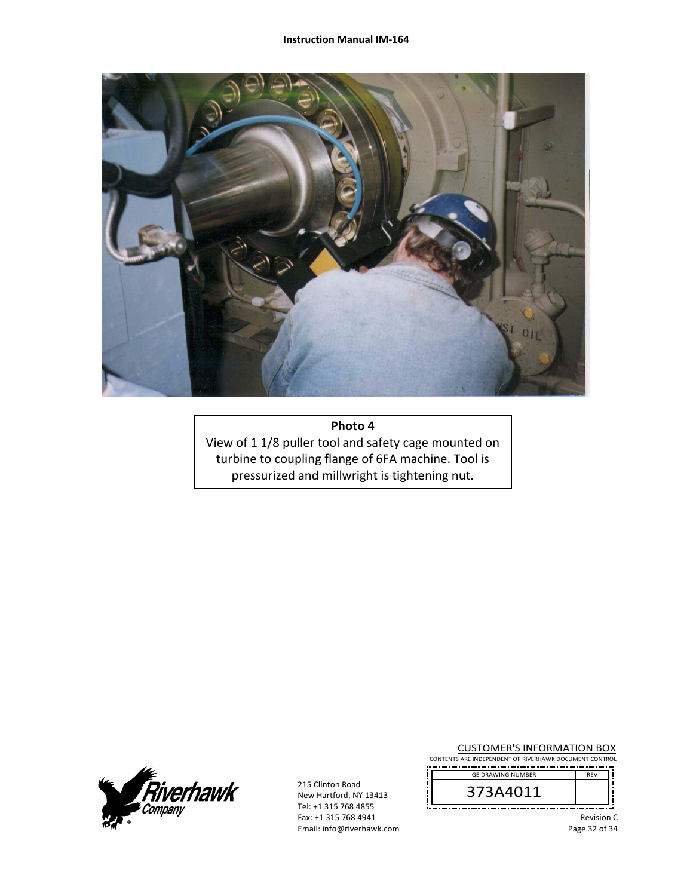

**Photo 4** 

View of 1 1/8 puller tool and safety cage mounted on turbine to coupling flange of 6FA machine. Tool is pressurized and millwright is tightening nut.



215 Clinton Road New Hartford, NY 13413 Tel: +1 315 768 4855 Fax: +1 315 768 4941 Email: info@riverhawk.com

CUSTOMER'S INFORMATION BOX CONTENTS ARE INDEPENDENT OF RIVERHAWK DOCUMENT CONTROL

-------------------------------------REV GE DRAWING NUMBER



Revision C Page 32 of 34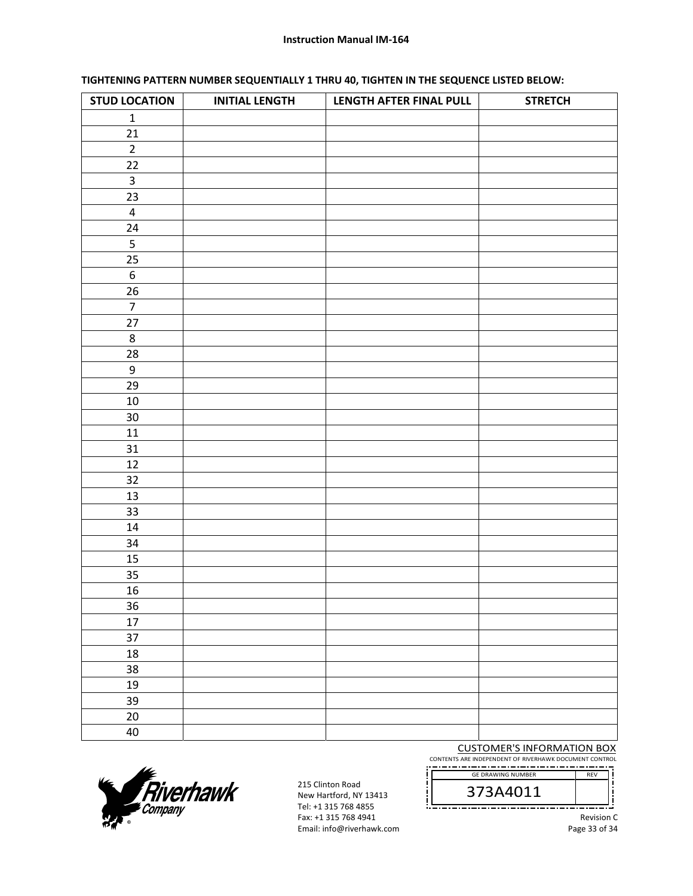#### **Instruction Manual IM‐164**

#### **TIGHTENING PATTERN NUMBER SEQUENTIALLY 1 THRU 40, TIGHTEN IN THE SEQUENCE LISTED BELOW:**

| <b>STUD LOCATION</b>    | <b>INITIAL LENGTH</b> | LENGTH AFTER FINAL PULL | <b>STRETCH</b> |
|-------------------------|-----------------------|-------------------------|----------------|
| $\mathbf 1$             |                       |                         |                |
| 21                      |                       |                         |                |
| $\overline{2}$          |                       |                         |                |
| 22                      |                       |                         |                |
| $\mathsf{3}$            |                       |                         |                |
| 23                      |                       |                         |                |
| $\overline{\mathbf{4}}$ |                       |                         |                |
| 24                      |                       |                         |                |
| $\overline{5}$          |                       |                         |                |
| 25                      |                       |                         |                |
| $\boldsymbol{6}$        |                       |                         |                |
| 26                      |                       |                         |                |
| $\overline{7}$          |                       |                         |                |
| 27                      |                       |                         |                |
| $\,8\,$                 |                       |                         |                |
| 28                      |                       |                         |                |
| $\boldsymbol{9}$        |                       |                         |                |
| 29                      |                       |                         |                |
| $10\,$                  |                       |                         |                |
| $30\,$                  |                       |                         |                |
| $11\,$                  |                       |                         |                |
| 31                      |                       |                         |                |
| 12                      |                       |                         |                |
| 32                      |                       |                         |                |
| 13                      |                       |                         |                |
| 33                      |                       |                         |                |
| $14\,$                  |                       |                         |                |
| 34                      |                       |                         |                |
| 15                      |                       |                         |                |
| 35                      |                       |                         |                |
| 16                      |                       |                         |                |
| 36                      |                       |                         |                |
| 17                      |                       |                         |                |
| 37                      |                       |                         |                |
| $18\,$                  |                       |                         |                |
| 38                      |                       |                         |                |
| 19                      |                       |                         |                |
| 39                      |                       |                         |                |
| $20\,$                  |                       |                         |                |
| 40                      |                       |                         |                |

CUSTOMER'S INFORMATION BOX

CONTENTS ARE INDEPENDENT OF RIVERHAWK DOCUMENT CONTROL 



į



215 Clinton Road New Hartford, NY 13413 Tel: +1 315 768 4855 Fax: +1 315 768 4941 Email: info@riverhawk.com

Revision C Page 33 of 34

ļ

REV